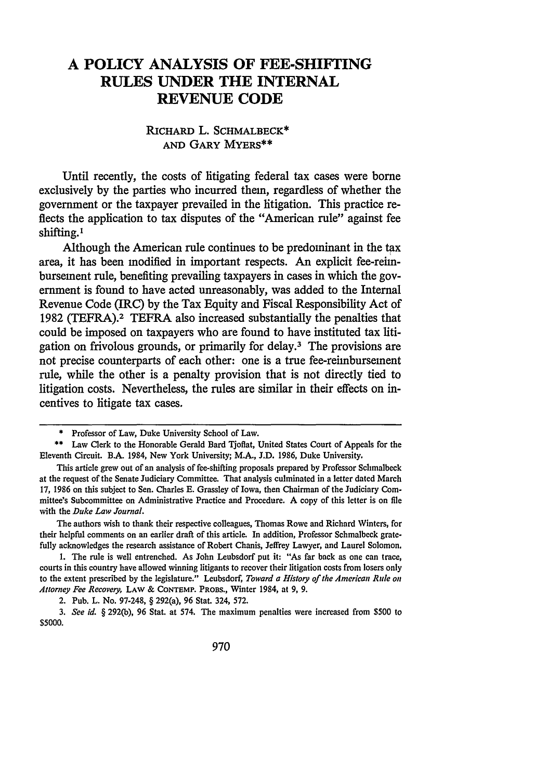# **A POLICY ANALYSIS OF FEE-SHIFTING RULES UNDER THE INTERNAL REVENUE CODE**

## **RICHARD** L. **SCHMALBECK\* AND GARY MYERS\*\***

Until recently, the costs of litigating federal tax cases were borne exclusively **by** the parties who incurred them, regardless of whether the government or the taxpayer prevailed in the litigation. This practice reflects the application to tax disputes of the "American rule" against fee shifting.1

Although the American rule continues to be predominant in the tax area, it has been modified in important respects. **An** explicit fee-reimbursement rule, benefiting prevailing taxpayers in cases in which the gov**ernment** is found to have acted unreasonably, was added to the Internal Revenue Code (IRC) **by** the Tax Equity and Fiscal Responsibility Act of **1982** (TEFRA).2 TEFRA also increased substantially the penalties that could be imposed on taxpayers who are found to have instituted tax litigation on frivolous grounds, or primarily for delay.3 The provisions are not precise counterparts of each other: one is a true fee-reimbursement rule, while the other is a penalty provision that is not directly tied to litigation costs. Nevertheless, the rules are similar in their effects on incentives to litigate tax cases.

The authors wish to thank their respective colleagues, Thomas Rowe and Richard Winters, for their helpful comments on an earlier draft of this article. In addition, Professor Schmalbeck gratefully acknowledges the research assistance of Robert Chanis, Jeffrey Lawyer, and Laurel Solomon.

1. The rule is well entrenched. As John Leubsdorf put it: "As far back as one can trace, courts in this country have allowed winning litigants to recover their litigation costs from losers only to the extent prescribed by the legislature." Leubsdorf, *Toward a History of the American Rule on Attorney Fee Recovery,* **LAW &** CONTEMP. PROBS., Winter 1984, at 9, 9.

2. Pub. L. No. 97-248, § 292(a), 96 Stat. 324, 572.

*3. See id.* **§** 292(b), 96 Stat. at 574. The maximum penalties were increased from \$500 to \$5000.

<sup>\*</sup> Professor of Law, Duke University School of Law.

<sup>\*\*</sup> Law Clerk to the Honorable Gerald Bard Tjoflat, United States Court of Appeals for the Eleventh Circuit. B.A. 1984, New York University; M.A., J.D. 1986, Duke University.

This article grew out of an analysis of fee-shifting proposals prepared by Professor Schmalbeck at the request of the Senate Judiciary Committee. That analysis culminated in a letter dated March 17, 1986 on this subject to Sen. Charles **E.** Grassley of Iowa, then Chairman of the Judiciary Committee's Subcommittee on Administrative Practice and Procedure. A copy of this letter is on file with the *Duke Law Journal.*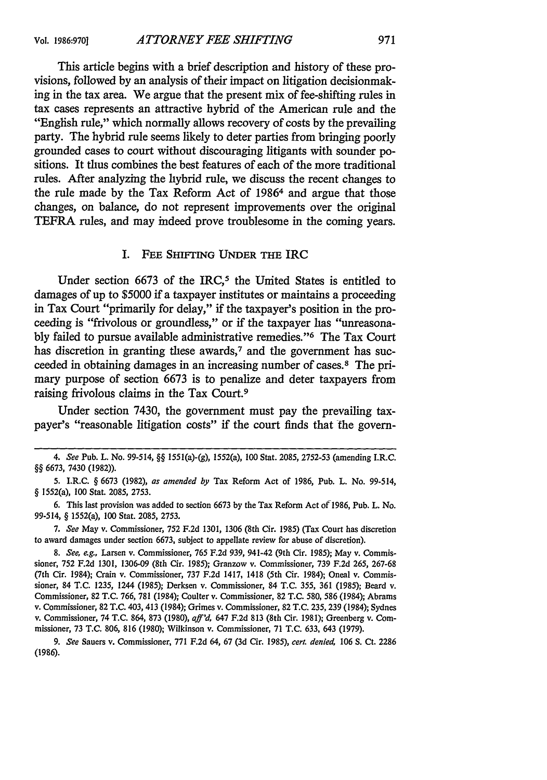This article begins with a brief description and history of these provisions, followed **by** an analysis of their impact on litigation decisionmaking in the tax area. We argue that the present mix of fee-shifting rules in tax cases represents an attractive hybrid of the American rule and the "English rule," which normally allows recovery of costs by the prevailing party. The hybrid rule seems likely to deter parties from bringing poorly grounded cases to court without discouraging litigants with sounder positions. It thus combines the best features of each of the more traditional rules. After analyzing the hybrid rule, we discuss the recent changes to the rule made by the Tax Reform Act of 19864 and argue that those changes, on balance, do not represent improvements over the original TEFRA rules, and may indeed prove troublesome in the coming years.

#### I. **FEE** SHIFTING **UNDER** THE IRC

Under section 6673 of the IRC,<sup>5</sup> the United States is entitled to damages of up to \$5000 if a taxpayer institutes or maintains a proceeding in Tax Court "primarily for delay," if the taxpayer's position in the proceeding is "frivolous or groundless," or if the taxpayer has "unreasonably failed to pursue available administrative remedies."<sup>6</sup> The Tax Court has discretion in granting these awards, $\tau$  and the government has succeeded in obtaining damages in an increasing number of cases." The primary purpose of section 6673 is to penalize and deter taxpayers from raising frivolous claims in the Tax Court.<sup>9</sup>

Under section 7430, the government must pay the prevailing taxpayer's "reasonable litigation costs" if the court finds that the govern-

*<sup>4.</sup> See* Pub. L. No. 99-514, §§ 1551(a)-(g), 1552(a), 100 Stat. 2085, 2752-53 (amending I.R.C. §§ 6673, 7430 **(1982)).**

<sup>5.</sup> I.R.C. § 6673 (1982), *as amended by* Tax Reform Act of 1986, Pub. L. No. 99-514, § 1552(a), 100 Stat. 2085, 2753.

<sup>6.</sup> This last provision was added to section 6673 by the Tax Reform Act of 1986, Pub. L. No. 99-514, § 1552(a), **100** Stat. 2085, 2753.

*<sup>7.</sup> See* May v. Commissioner, 752 F.2d 1301, 1306 (8th Cir. 1985) (Tax Court has discretion to award damages under section 6673, subject to appellate review for abuse of discretion).

*<sup>8.</sup> See, e.g.,* Larsen v. Commissioner, 765 F.2d 939, 941-42 (9th Cir. 1985); May v. Commissioner, 752 F.2d 1301, 1306-09 (8th Cir. 1985); Granzow v. Commissioner, 739 F.2d 265, 267-68 (7th Cir. 1984); Crain v. Commissioner, 737 F.2d 1417, 1418 (5th Cir. 1984); Oneal v. Commissioner, 84 T.C. 1235, 1244 (1985); Derksen v. Commissioner, 84 T.C. 355, 361 (1985); Beard v. Commissioner, 82 T.C. 766, 781 (1984); Coulter v. Commissioner, 82 T.C. 580, 586 (1984); Abrams v. Commissioner, 82 T.C. 403, 413 (1984); Grimes v. Commissioner, 82 T.C. 235, 239 (1984); Sydnes v. Commissioner, 74 T.C. 864, 873 (1980), *aff'd,* 647 F.2d 813 (8th Cir. 1981); Greenberg v. Commissioner, 73 T.C. 806, 816 (1980); Wilkinson v. Commissioner, 71 T.C. 633, 643 (1979).

*<sup>9.</sup> See* Sauers v. Commissioner, 771 F.2d 64, 67 (3d Cir. 1985), *cert. denied,* 106 **S.** Ct. 2286 (1986).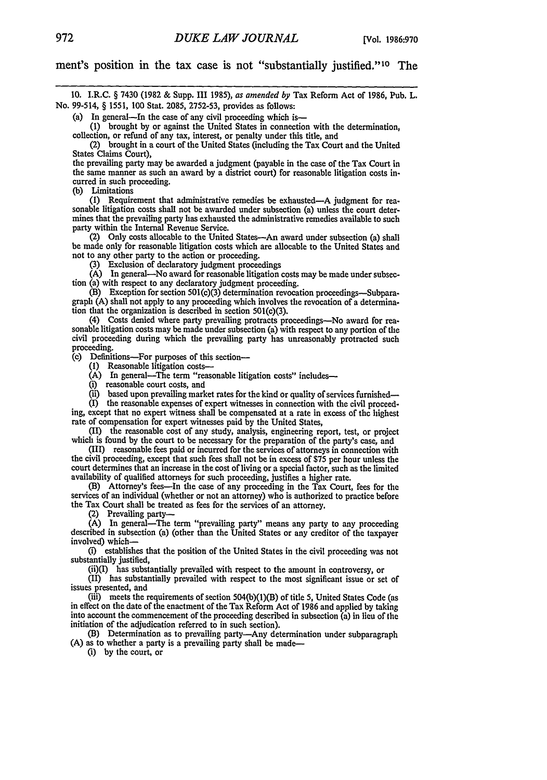ment's position in the tax case is not "substantially justified."<sup>10</sup> The

10. I.R.C. § 7430 (1982 & Supp. III 1985), *as amended by* Tax Reform Act of 1986, Pub. L. No. 99-514, § 1551, 100 Stat. 2085, 2752-53, provides as follows:

(a) In general—In the case of any civil proceeding which is—

**(1)** brought by or against the United States in connection with the determination,

collection, or refund of any tax, interest, or penalty under this title, and (2) brought in a court of the United States (including the Tax Court and the United States Claims Court),

the prevailing party may be awarded a judgment (payable in the case of the Tax Court in the same manner as such an award by a district court) for reasonable litigation costs incurred in such proceeding.

(b) Limitations<br>(1) Requirement that administrative remedies be exhausted—A judgment for reasonable litigation costs shall not be awarded under subsection (a) unless the court determines that the prevailing party has exhausted the administrative remedies available to such party within the Internal Revenue Service.

(2) Only costs allocable to the United States-An award under subsection (a) shall be made only for reasonable litigation costs which are allocable to the United States and not to any other party to the action or proceeding.

3) Exclusion of declaratory judgment proceedings

**(A)** In general-No award for reasonable litigation costs may be made under subsection (a) with respect to any declaratory judgment proceeding.

(B) Exception for section 501(c)(3) determination revocation proceedings-Subparagraph (A) shall not apply to any proceeding which involves the revocation of a determination that the organization is described in section 501(c)(3).

(4) Costs denied where party prevailing protracts proceedings-No award for reasonable litigation costs may be made under subsection (a) with respect to any portion of the civil proceeding during which the prevailing party has unreasonably protracted such proceeding.

**(c)** Definitions-For purposes of this section-

**(1)** Reasonable litigation costs-

(A) In general—The term "reasonable litigation costs" includes—

(i) reasonable court costs, and

(ii) based upon prevailing market rates for the kind or quality of services furnished-

(I) the reasonable expenses of expert witnesses in connection with the civil proceeding, except that no expert witness shall be compensated at a rate in excess of the highest rate of compensation for expert witnesses paid by the United States,

(II) the reasonable cost of any study, analysis, engineering report, test, or project which is found by the court to be necessary for the preparation of the party's case, and

(III) reasonable fees paid or incurred for the services of attorneys in connection with the civil proceeding, except that such fees shall not be in excess of \$75 per hour unless the court determines that an increase in the cost of living or a special factor, such as the limited availability of qualified attorneys for such proceeding, justifies a higher rate.

(B) Attorney's fees-In the case of any proceeding in the Tax Court, fees for the services of an individual (whether or not an attorney) who is authorized to practice before the Tax Court shall be treated as fees for the services of an attorney.

(2) Prevailing party-

(A) In general-The term "prevailing party" means any party to any proceeding described in subsection (a) (other than the United States or any creditor of the taxpayer involved) which-

(i) establishes that the position of the United States in the civil proceeding was not substantially justified,

 $(ii)(I)$  has substantially prevailed with respect to the amount in controversy, or  $(I)$  has substantially prevailed with respect to the most significant issue or set of issues presented, and

(iii) meets the requirements of section 504(b)(l)(B) of title 5, United States Code (as in effect on the date of the enactment of the Tax Reform Act of 1986 and applied by taking into account the commencement of the proceeding described in subsection (a) in lieu of the initiation of the adjudication referred to in such section).

(B) Determination as to prevailing party-Any determination under subparagraph **(A)** as to whether a party is a prevailing party shall be made-

(i) by the court, or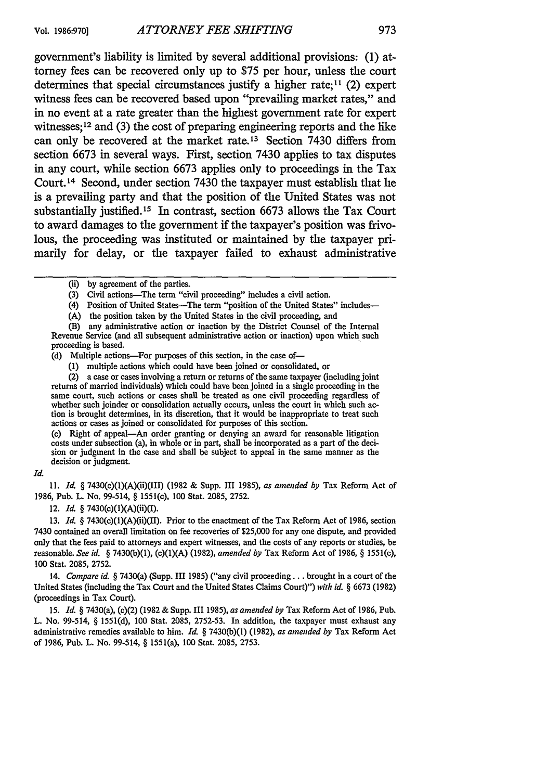government's liability is limited by several additional provisions: (1) attorney fees can be recovered only up to \$75 per hour, unless the court determines that special circumstances justify a higher rate;<sup>11</sup> (2) expert witness fees can be recovered based upon "prevailing market rates," and in no event at a rate greater than the highest government rate for expert witnesses;  $12$  and (3) the cost of preparing engineering reports and the like can only be recovered at the market rate.13 Section 7430 differs from section 6673 in several ways. First, section 7430 applies to tax disputes in any court, while section 6673 applies only to proceedings in the Tax Court. 14 Second, under section 7430 the taxpayer must establish that he is a prevailing party and that the position of the United States was not substantially justified.<sup>15</sup> In contrast, section 6673 allows the Tax Court to award damages to the government if the taxpayer's position was frivolous, the proceeding was instituted or maintained by the taxpayer primarily for delay, or the taxpayer failed to exhaust administrative

- (3) Civil actions-The term "civil proceeding" includes a civil action.
- (4) Position of United States-The term "position of the United States" includes-
- (A) the position taken by the United States in the civil proceeding, and
- (B) any administrative action or inaction by the District Counsel of the Internal Revenue Service (and all subsequent administrative action or inaction) upon which such proceeding is based.
- (d) Multiple actions-For purposes of this section, in the case of-
	- **(1)** multiple actions which could have been joined or consolidated, or
- (2) a case or cases involving a return or returns of the same taxpayer (including joint returns of married individuals) which could have been joined in a single proceeding in the same court, such actions or cases shall be treated as one civil proceeding regardless of whether such joinder or consolidation actually occurs, unless the court in which such action is brought determines, in its discretion, that it would be inappropriate to treat such actions or cases as joined or consolidated for purposes of this section.

(e) Right of appeal-An order granting or denying an award for reasonable litigation costs under subsection (a), in whole or in part, shall be incorporated as a part of the decision or judgment in the case and shall be subject to appeal in the same manner as the decision or judgment.

#### *Id.*

11. *Id. §* 7430(c)(l)(A)(ii)(III) (1982 & Supp. III 1985), *as amended by* Tax Reform Act of 1986, Pub. L. No. 99-514, § 1551(c), 100 Stat. 2085, 2752.

12. *Id. §* 7430(c)(1)(A)(ii)(I).

13. *Id. §* 7430(c)(1)(A)(ii)(II). Prior to the enactment of the Tax Reform Act of 1986, section 7430 contained an overall limitation on fee recoveries of \$25,000 for any one dispute, and provided only that the fees paid to attorneys and expert witnesses, and the costs of any reports or studies, be reasonable. *See id. §* 7430(b)(1), (c)(1)(A) (1982), *amended by* Tax Reform Act of 1986, § 1551(c), **100** Stat. 2085, 2752.

14. *Compare id. §* 7430(a) (Supp. III 1985) ("any civil proceeding.., brought in a court of the United States (including the Tax Court and the United States Claims Court)") *with id. §* 6673 (1982) (proceedings in Tax Court).

15. *Id. §* 7430(a), (c)(2) (1982 & Supp. III 1985), *as amended by* Tax Reform Act of 1986, Pub. L. No. 99-514, § 1551(d), 100 Stat. 2085, 2752-53. In addition, the taxpayer must exhaust any administrative remedies available to him. *Id. §* 7430(b)(1) (1982), *as amended by* Tax Reform Act of 1986, Pub. L. No. 99-514, § 1551(a), 100 Stat. 2085, 2753.

<sup>(</sup>ii) by agreement of the parties.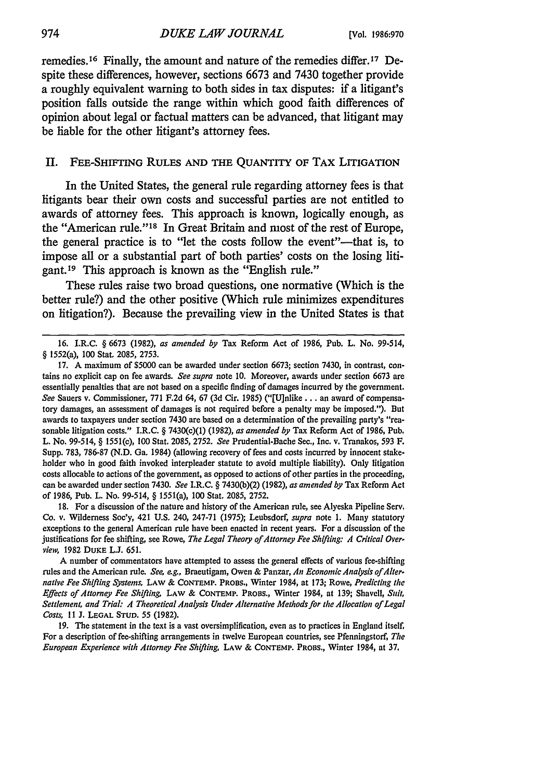remedies.16 Finally, the amount and nature of the remedies differ. 17 Despite these differences, however, sections **6673** and 7430 together provide a roughly equivalent warning to both sides in tax disputes: if a litigant's position falls outside the range within which good faith differences of opinion about legal or factual matters can be advanced, that litigant may be liable for the other litigant's attorney fees.

#### II. FEE-SHIFrING **RULES AND THE QUANTITY OF** TAX **LITIGATION**

In the United States, the general rule regarding attorney fees is that litigants bear their own costs and successful parties are not entitled to awards of attorney fees. This approach is known, logically enough, as the "American rule." 18 In Great Britain and most of the rest of Europe, the general practice is to "let the costs follow the event"-that is, to impose all or a substantial part of both parties' costs on the losing litigant. 19 This approach is known as the "English rule."

These rules raise two broad questions, one normative (Which is the better rule?) and the other positive (Which rule minimizes expenditures on litigation?). Because the prevailing view in the United States is that

17. A maximum of \$5000 can be awarded under section 6673; section 7430, in contrast, contains no explicit cap on fee awards. *See supra* note 10. Moreover, awards under section 6673 are essentially penalties that are not based on a specific finding of damages incurred by the government. *See* Sauers v. Commissioner, 771 F.2d 64, 67 (3d Cir. 1985) ("[U]nlike **...** an award of compensatory damages, an assessment of damages is not required before a penalty may be imposed."). But awards to taxpayers under section 7430 are based on a determination of the prevailing party's "reasonable litigation costs." I.R.C. § 7430(c)(1) (1982), *as amended by* Tax Reform Act of 1986, Pub. L. No. 99-514, § 1551(c), 100 Stat. 2085, 2752. *See* Prudential-Bache Sec., Inc. v. Tranakos, 593 F. Supp. 783, 786-87 (N.D. Ga. 1984) (allowing recovery of fees and costs incurred by innocent stakeholder who in good faith invoked interpleader statute to avoid multiple liability). Only litigation costs allocable to actions of the government, as opposed to actions of other parties in the proceeding, can be awarded under section 7430. *See* I.R.C. § 7430(b)(2) (1982), *as amended by* Tax Reform Act of 1986, Pub. L. No. 99-514, § 1551(a), **100** Stat. 2085, 2752.

18. For a discussion of the nature and history of the American rule, see Alyeska Pipeline Serv. Co. v. Wilderness Soc'y, 421 U.S. 240, 247-71 (1975); Leubsdorf, *supra* note 1. Many statutory exceptions to the general American rule have been enacted in recent years. For a discussion of the justifications for fee shifting, see Rowe, *The Legal Theory of Attorney Fee Shifting: A Critical Over*view, 1982 **DUKE L.J. 651.**

A number of commentators have attempted to assess the general effects of various fee-shifting rules and the American rule. *See, e.g.,* Braeutigam, Owen & Panzar, *An Economic Analysis ofAlter. native Fee Shifting Systems,* **LAW** & **CONTEMP.** PROBS., Winter 1984, at 173; Rowe, *Predicting the Effects of Attorney Fee Shifting,* LAW & **CONTEMP.** PROBS., Winter 1984, at 139; Shavell, *Suit, Settlement, and Trial: A Theoretical Analysis Under Alternative Methods for the Allocation of Legal Costs, II* J. **LEGAL STUD.** 55 **(1982).**

19. The statement in the text is a vast oversimplification, even as to practices in England itself. For a description of fee-shifting arrangements in twelve European countries, see Pfenningstorf, *The European Experience with Attorney Fee Shifting,* **LAW** & **CONTEMP.** PROBS., Winter 1984, at **37.**

<sup>16.</sup> I.R.C. § 6673 (1982), *as amended by* Tax Reform Act of 1986, Pub. L. No. 99-514, § 1552(a), **100** Stat. 2085, 2753.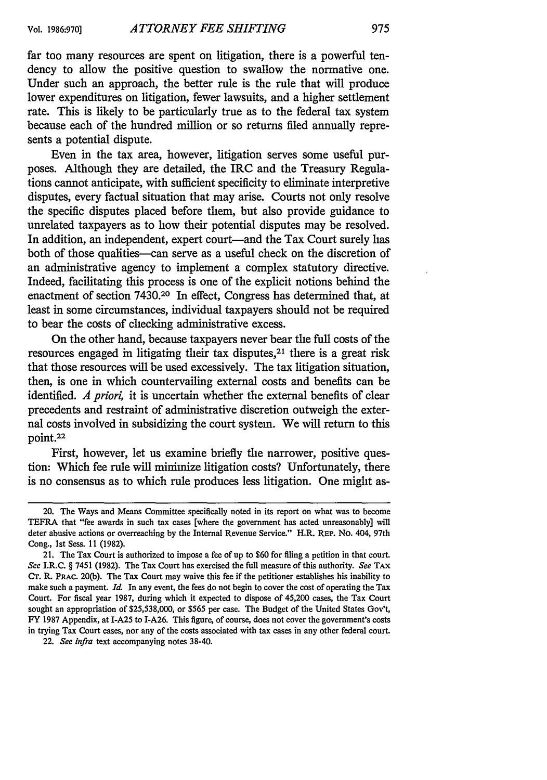far too many resources are spent on litigation, there is a powerful tendency to allow the positive question to swallow the normative one. Under such an approach, the better rule is the rule that will produce lower expenditures on litigation, fewer lawsuits, and a higher settlement rate. This is likely to be particularly true as to the federal tax system because each of the hundred million or so returns filed annually represents a potential dispute.

Even in the tax area, however, litigation serves some useful purposes. Although they are detailed, the IRC and the Treasury Regulations cannot anticipate, with sufficient specificity to eliminate interpretive disputes, every factual situation that may arise. Courts not only resolve the specific disputes placed before them, but also provide guidance to unrelated taxpayers as to how their potential disputes may be resolved. In addition, an independent, expert court-and the Tax Court surely has both of those qualities—can serve as a useful check on the discretion of an administrative agency to implement a complex statutory directive. Indeed, facilitating this process is one of the explicit notions behind the enactment of section 7430.20 In effect, Congress has determined that, at least in some circumstances, individual taxpayers should not be required to bear the costs of checking administrative excess.

On the other hand, because taxpayers never bear the full costs of the resources engaged in litigating their tax disputes,<sup>21</sup> there is a great risk that those resources will be used excessively. The tax litigation situation, then, is one in which countervailing external costs and benefits can be identified. *A priori,* it is uncertain whether the external benefits of clear precedents and restraint of administrative discretion outweigh the external costs involved in subsidizing the court system. We will return to this point.22

First, however, let us examine briefly the narrower, positive question: Which fee rule will minimize litigation costs? Unfortunately, there is no consensus as to which rule produces less litigation. One might as-

22. *See infra* text accompanying notes 38-40.

<sup>20.</sup> The Ways and Means Committee specifically noted in its report on what was to become TEFRA that "fee awards in such tax cases [where the government has acted unreasonably] will deter abusive actions or overreaching by the Internal Revenue Service." H.R. REP. No. 404, 97th Cong., Ist Sess. **11** (1982).

<sup>21.</sup> The Tax Court is authorized to impose a fee of up to \$60 for filing a petition in that court. *See* I.R.C. § 7451 (1982). The Tax Court has exercised the full measure of this authority. *See* TAX Cr. R. PRAC. 20(b). The Tax Court may waive this fee if the petitioner establishes his inability to make such a payment. *Id.* In any event, the fees do not begin to cover the cost of operating the Tax Court. For fiscal year 1987, during which it expected to dispose of 45,200 cases, the Tax Court sought an appropriation of \$25,538,000, or \$565 per case. The Budget of the United States Gov't, FY 1987 Appendix, at I-A25 to I-A26. This figure, of course, does not cover the government's costs in trying Tax Court cases, nor any of the costs associated with tax cases in any other federal court.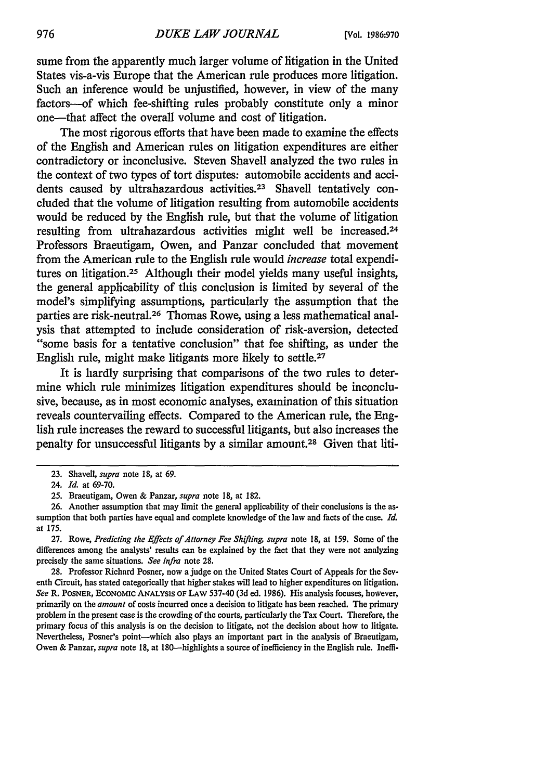sume from the apparently much larger volume of litigation in the United States vis-a-vis Europe that the American rule produces more litigation. Such an inference would be unjustified, however, in view of the many factors--of which fee-shifting rules probably constitute only a minor one-that affect the overall volume and cost of litigation.

The most rigorous efforts that have been made to examine the effects of the English and American rules on litigation expenditures are either contradictory or inconclusive. Steven Shavell analyzed the two rules in the context of two types of tort disputes: automobile accidents and accidents caused by ultrahazardous activities.<sup>23</sup> Shavell tentatively concluded that the volume of litigation resulting from automobile accidents would be reduced **by** the English rule, but that the volume of litigation resulting from ultrahazardous activities might well be increased.<sup>24</sup> Professors Braeutigam, Owen, and Panzar concluded that movement from the American rule to the English rule would *increase* total expenditures on litigation.25 Although their model yields many useful insights, the general applicability of this conclusion is limited **by** several of the model's simplifying assumptions, particularly the assumption that the parties are risk-neutral.26 Thomas Rowe, using a less mathematical analysis that attempted to include consideration of risk-aversion, detected "some basis for a tentative conclusion" that fee shifting, as under the English rule, might make litigants more likely to settle.<sup>27</sup>

It is hardly surprising that comparisons of the two rules to determine which rule minimizes litigation expenditures should be inconclusive, because, as in most economic analyses, examination of this situation reveals countervailing effects. Compared to the American rule, the English rule increases the reward to successful litigants, but also increases the penalty for unsuccessful litigants **by** a similar amount.28 Given that liti-

**27.** Rowe, *Predicting the Effects of Attorney Fee Shifting, supra* note **18,** at **159.** Some of the differences among the analysts' results can be explained **by** the fact that they were not analyzing precisely the same situations. *See infra* note **28.**

**28.** Professor Richard Posner, now a judge on the United States Court of Appeals for the **Sev**enth Circuit, has stated categorically that higher stakes will lead to higher expenditures on litigation. *See* R. **POSNER, ECONOMIC ANALYSIS OF LAW 537-40 (3d** ed. **1986).** His analysis focuses, however, primarily on the *amount* of costs incurred once a decision to litigate has been reached. The primary problem in the present case is the crowding of the courts, particularly the Tax Court. Therefore, the primary focus of this analysis is on the decision to litigate, not the decision about how to litigate. Nevertheless, Posner's point-which also plays an important part in the analysis of Braeutigam, Owen & Panzar, *supra* note 18, at 180—highlights a source of inefficiency in the English rule. Ineffi-

**<sup>23.</sup>** Shavell, *supra* note **18,** at **69.**

<sup>24.</sup> *Id.* at **69-70.**

**<sup>25.</sup>** Braeutigam, Owen **&** Panzar, *supra* note **18,** at **182.**

**<sup>26.</sup>** Another assumption that may limit the general applicability of their conclusions is the assumption that both parties have equal and complete knowledge of the law and facts of the case. *Id.* at **175.**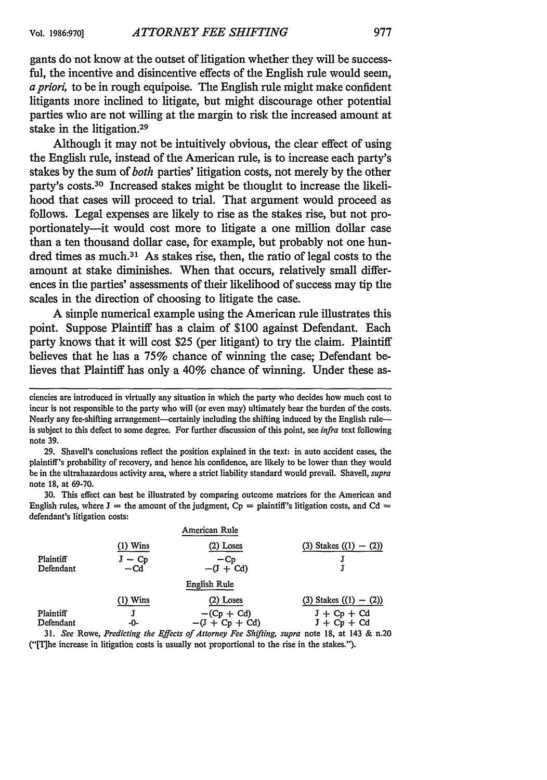gants do not know at the outset of litigation whether they will be successful, the incentive and disincentive effects of the English rule would seem, *a priori,* to be in rough equipoise. The English rule might make confident litigants more inclined to litigate, but might discourage other potential parties who are not willing at the margin to risk the increased amount at stake in the litigation.<sup>29</sup>

Although it may not be intuitively obvious, the clear effect of using the English rule, instead of the American rule, is to increase each party's stakes by the sum of *both* parties' litigation costs, not merely by the other party's costs. 30 Increased stakes might be thought to increase the likelihood that cases will proceed to trial. That argument would proceed as follows. Legal expenses are likely to rise as the stakes rise, but not proportionately-it would cost more to litigate a one million dollar case than a ten thousand dollar case, for example, but probably not one hundred times as much.<sup>31</sup> As stakes rise, then, the ratio of legal costs to the amount at stake diminishes. When that occurs, relatively small differences in the parties' assessments of their likelihood of success may tip the scales in the direction of choosing to litigate the case.

A simple numerical example using the American rule illustrates this point. Suppose Plaintiff has a claim of \$100 against Defendant. Each party knows that it will cost \$25 (per litigant) to try the claim. Plaintiff believes that he has a **75%** chance of winning the case; Defendant believes that Plaintiff has only a 40% chance of winning. Under these as-

29. Shavell's conclusions reflect the position explained in the text: in auto accident cases, the plaintiff's probability of recovery, and hence his confidence, are likely to be lower than they would be in the ultrahazardous activity area, where a strict liability standard would prevail. Shavell, *supra* note 18, at 69-70.

30. This effect can best be illustrated by comparing outcome matrices for the American and English rules, where  $J =$  the amount of the judgment,  $Cp =$  plaintiff's litigation costs, and Cd  $=$ defendant's litigation costs:

|                        |                   | American Rule                                                                                                                                                                                                                                           |                            |
|------------------------|-------------------|---------------------------------------------------------------------------------------------------------------------------------------------------------------------------------------------------------------------------------------------------------|----------------------------|
|                        | (1) Wins          | $(2)$ Loses                                                                                                                                                                                                                                             | (3) Stakes $((1) - (2))$   |
| Plaintiff<br>Defendant | $J - Cp$<br>$-cd$ | $-Cp$<br>$-(J + Cd)$                                                                                                                                                                                                                                    |                            |
|                        |                   | English Rule                                                                                                                                                                                                                                            |                            |
|                        | $(1)$ Wins        | $(2)$ Loses                                                                                                                                                                                                                                             | $(3)$ Stakes $((1) - (2))$ |
| Plaintiff              |                   | $-(Cp + Cd)$                                                                                                                                                                                                                                            | $J + Cp + Cd$              |
| Defendant              | -0-               | $-(J + Cp + Cd)$                                                                                                                                                                                                                                        | $J + Cp + Cd$              |
|                        |                   | $21 - \Omega_{\text{tot}}$ $\Omega_{\text{scatt}}$ $\Omega_{\text{tot}}$ $\Omega_{\text{tot}}$ $\Omega_{\text{tot}}$ of determing $E_{\text{tot}}$ $\Omega_{\text{tot}}$ and $\Omega_{\text{tot}}$ and $10 - \Omega_{\text{tot}}$ $\Omega_{\text{tot}}$ |                            |

31. *See* Rowe, *Predicting the Effects of Attorney Fee Shifting, supra* note 18, at 143 & n.20 ('ITihe increase in litigation costs is usually not proportional to the rise in the stakes.").

ciencies are introduced in virtually any situation in which the party who decides how much cost to incur is not responsible to the party who will (or even may) ultimately bear the burden of the costs. Nearly any fee-shifting arrangement—certainly including the shifting induced by the English rule is subject to this defect to some degree. For further discussion of this point, see *infra* text following note 39.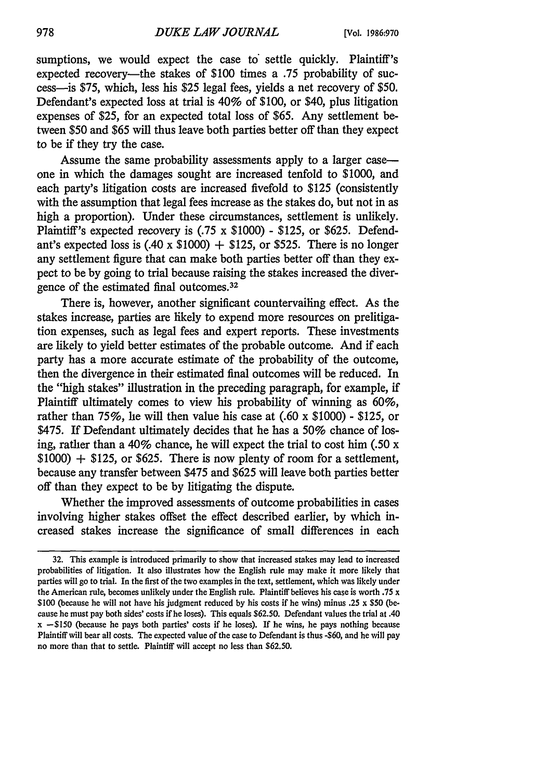sumptions, we would expect the case to settle quickly. Plaintiff's expected recovery—the stakes of \$100 times a .75 probability of success-is \$75, which, less his \$25 legal fees, yields a net recovery of \$50. Defendant's expected loss at trial is 40% of \$100, or \$40, plus litigation expenses of \$25, for an expected total loss of \$65. Any settlement between \$50 and \$65 will thus leave both parties better off than they expect to be if they try the case.

Assume the same probability assessments apply to a larger caseone in which the damages sought are increased tenfold to \$1000, and each party's litigation costs are increased fivefold to \$125 (consistently with the assumption that legal fees increase as the stakes do, but not in as high a proportion). Under these circumstances, settlement is unlikely. Plaintiff's expected recovery is (.75 x \$1000) - \$125, or \$625. Defendant's expected loss is (.40 x \$1000) **+** \$125, or \$525. There is no longer any settlement figure that can make both parties better off than they expect to be by going to trial because raising the stakes increased the divergence of the estimated final outcomes. <sup>32</sup>

There is, however, another significant countervailing effect. As the stakes increase, parties are likely to expend more resources on prelitigation expenses, such as legal fees and expert reports. These investments are likely to yield better estimates of the probable outcome. And if each party has a more accurate estimate of the probability of the outcome, then the divergence in their estimated final outcomes will be reduced. In the "high stakes" illustration in the preceding paragraph, for example, if Plaintiff ultimately comes to view his probability of winning as 60%, rather than 75%, he will then value his case at (.60 x \$1000) - \$125, or \$475. If Defendant ultimately decides that he has a 50% chance of losing, rather than a 40% chance, he will expect the trial to cost him (.50 x \$1000) **+** \$125, or \$625. There is now plenty of room for a settlement, because any transfer between \$475 and \$625 will leave both parties better off than they expect to be by litigating the dispute.

Whether the improved assessments of outcome probabilities in cases involving higher stakes offset the effect described earlier, by which increased stakes increase the significance of small differences in each

**<sup>32.</sup>** This example is introduced primarily to show that increased stakes may lead to increased probabilities of litigation. It also illustrates how the English rule may make it more likely that parties will go to trial. In the first of the two examples in the text, settlement, which was likely under the American rule, becomes unlikely under the English rule. Plaintiff believes his case is worth .75 x \$100 (because he will not have his judgment reduced by his costs if he wins) minus .25 x \$50 (because he must pay both sides' costs if he loses). This equals \$62.50. Defendant values the trial at .40  $x - $150$  (because he pays both parties' costs if he loses). If he wins, he pays nothing because Plaintiffwill bear all costs. The expected value of the case to Defendant is thus -\$60, and he will pay no more than that to settle. Plaintiff will accept no less than \$62.50.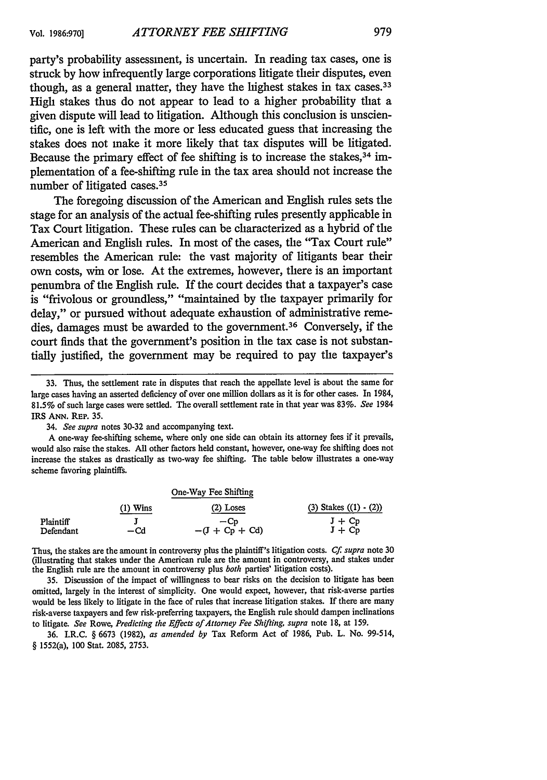party's probability assessment, is uncertain. In reading tax cases, one is struck by how infrequently large corporations litigate their disputes, even though, as a general matter, they have the liighest stakes in tax cases.<sup>33</sup> High stakes thus do not appear to lead to a higher probability that a given dispute will lead to litigation. Although this conclusion is unscientific, one is left with the more or less educated guess that increasing the stakes does not make it more likely that tax disputes will be litigated. Because the primary effect of fee shifting is to increase the stakes,<sup>34</sup> implementation of a fee-shifting rule in the tax area should not increase the number of litigated cases. <sup>35</sup>

The foregoing discussion of the American and English rules sets the stage for an analysis of the actual fee-shifting rules presently applicable in Tax Court litigation. These rules can be characterized as a hybrid of the American and English rules. In most of the cases, the "Tax Court rule" resembles the American rule: the vast majority of litigants bear their own costs, win or lose. At the extremes, however, there is an important penumbra of the English rule. If the court decides that a taxpayer's case is "frivolous or groundless," "maintained by the taxpayer primarily for delay," or pursued without adequate exhaustion of administrative remedies, damages must be awarded to the government.<sup>36</sup> Conversely, if the court finds that the government's position in the tax case is not substantially justified, the government may be required to pay the taxpayer's

A one-way fee-shifting scheme, where only one side can obtain its attorney fees if it prevails, would also raise the stakes. All other factors held constant, however, one-way fee shifting does not increase the stakes as drastically as two-way fee shifting. The table below illustrates a one-way scheme favoring plaintiffs.

|           |            | One-Way Fee Shifting |                              |
|-----------|------------|----------------------|------------------------------|
|           | $(1)$ Wins | $(2)$ Loses          | (3) Stakes $((1) \cdot (2))$ |
| Plaintiff |            | $-Cn$                | $J + Cp$                     |
| Defendant | —Cd        | $-(J + Cp + Cd)$     | $J + Cp$                     |

Thus, the stakes are the amount in controversy plus the plaintiff's litigation costs. *Cf supra* note 30 (illustrating that stakes under the American rule are the amount in controversy, and stakes under the English rule are the amount in controversy plus *both* parties' litigation costs).

35. Discussion of the impact of willingness to bear risks on the decision to litigate has been omitted, largely in the interest of simplicity. One would expect, however, that risk-averse parties would be less likely to litigate in the face of rules that increase litigation stakes. If there are many risk-averse taxpayers and few risk-preferring taxpayers, the English rule should dampen inclinations to litigate. *See* Rowe, *Predicting the Effects of Attorney Fee Shifting, supra* note 18, at 159.

36. I.R.C. § 6673 (1982), *as amended by* Tax Reform Act of 1986, Pub. L. No. 99-514, § 1552(a), 100 Stat. 2085, 2753.

<sup>33.</sup> Thus, the settlement rate in disputes that reach the appellate level is about the same for large cases having an asserted deficiency of over one million dollars as it is for other cases. In 1984, 81.5% of such large cases were settled. The overall settlement rate in that year was 83%. *See* 1984 IRS **ANN. REP.** 35.

<sup>34.</sup> *See supra* notes 30-32 and accompanying text.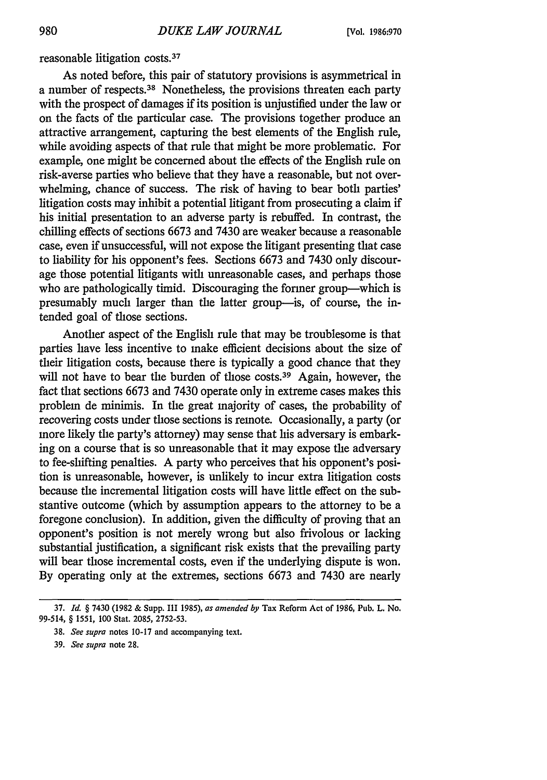reasonable litigation costs. <sup>37</sup>

As noted before, this pair of statutory provisions is asymmetrical in a number of respects. 38 Nonetheless, the provisions threaten each party with the prospect of damages if its position is unjustified under the law or on the facts of the particular case. The provisions together produce an attractive arrangement, capturing the best elements of the English rule, while avoiding aspects of that rule that might be more problematic. For example, one might be concerned about the effects of the English rule on risk-averse parties who believe that they have a reasonable, but not overwhelming, chance of success. The risk of having to bear both parties' litigation costs may inhibit a potential litigant from prosecuting a claim if his initial presentation to an adverse party is rebuffed. In contrast, the chilling effects of sections 6673 and 7430 are weaker because a reasonable case, even if unsuccessful, will not expose the litigant presenting that case to liability for his opponent's fees. Sections 6673 and 7430 only discourage those potential litigants with unreasonable cases, and perhaps those who are pathologically timid. Discouraging the former group—which is presumably much larger than the latter group-is, of course, the intended goal of those sections.

Another aspect of the English rule that may be troublesome is that parties have less incentive to make efficient decisions about the size of their litigation costs, because there is typically a good chance that they will not have to bear the burden of those costs.<sup>39</sup> Again, however, the fact that sections 6673 and 7430 operate only in extreme cases makes this problem de minimis. In the great majority of cases, the probability of recovering costs under those sections is remote. Occasionally, a party (or more likely the party's attorney) may sense that his adversary is embarking on a course that is so unreasonable that it may expose the adversary to fee-shifting penalties. A party who perceives that his opponent's position is unreasonable, however, is unlikely to incur extra litigation costs because the incremental litigation costs will have little effect on the substantive outcome (which by assumption appears to the attorney to be a foregone conclusion). In addition, given the difficulty of proving that an opponent's position is not merely wrong but also frivolous or lacking substantial justification, a significant risk exists that the prevailing party will bear those incremental costs, even if the underlying dispute is won. By operating only at the extremes, sections 6673 and 7430 are nearly

**<sup>37.</sup>** *Id.* § 7430 **(1982 &** Supp. **III 1985),** *as amended by* Tax Reform Act of **1986,** Pub. L. No. 99-514, § *1551,* **100** Stat. **2085, 2752-53.**

**<sup>38.</sup>** *See supra* notes **10-17** and accompanying text.

**<sup>39.</sup>** *See supra* note **28.**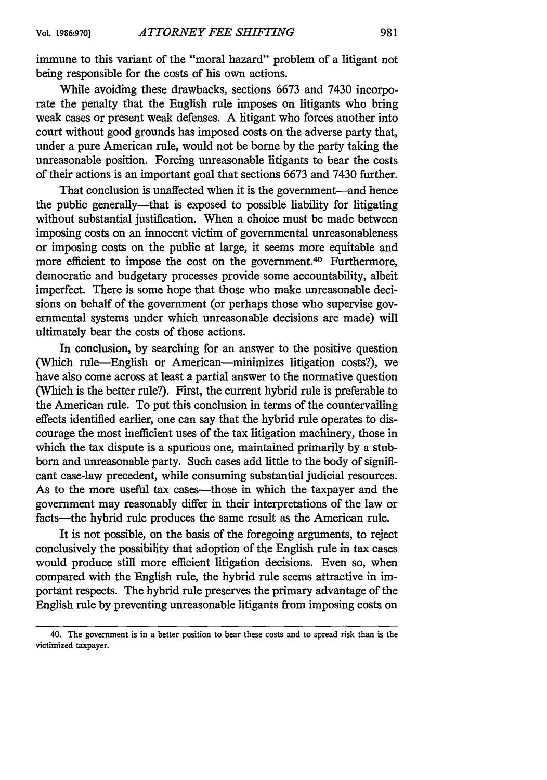immune to this variant of the "moral hazard" problem of a litigant not being responsible for the costs of his own actions.

While avoiding these drawbacks, sections 6673 and 7430 incorporate the penalty that the English rule imposes on litigants who bring weak cases or present weak defenses. A hitigant who forces another into court without good grounds has imposed costs on the adverse party that, under a pure American rule, would not be borne by the party taking the unreasonable position. Forcing unreasonable litigants to bear the costs of their actions is an important goal that sections 6673 and 7430 further.

That conclusion is unaffected when it is the government-and hence the public generally-that is exposed to possible liability for litigating without substantial justification. When a choice must be made between imposing costs on an innocent victim of governmental unreasonableness or imposing costs on the public at large, it seems more equitable and more efficient to impose the cost on the government.<sup>40</sup> Furthermore, democratic and budgetary processes provide some accountability, albeit imperfect. There is some hope that those who make unreasonable decisions on behalf of the government (or perhaps those who supervise governmental systems under which unreasonable decisions are made) will ultimately bear the costs of those actions.

In conclusion, by searching for an answer to the positive question (Which rule-English or American-minimizes litigation costs?), we have also come across at least a partial answer to the normative question (Which is the better rule?). First, the current hybrid rule is preferable to the American rule. To put this conclusion in terms of the countervailing effects identified earlier, one can say that the hybrid rule operates to discourage the most inefficient uses of the tax litigation machinery, those in which the tax dispute is a spurious one, maintained primarily by a stubborn and unreasonable party. Such cases add little to the body of significant case-law precedent, while consuming substantial judicial resources. As to the more useful tax cases—those in which the taxpayer and the government may reasonably differ in their interpretations of the law or facts-the hybrid rule produces the same result as the American rule.

It is not possible, on the basis of the foregoing arguments, to reject conclusively the possibility that adoption of the English rule in tax cases would produce still more efficient litigation decisions. Even so, when compared with the English rule, the hybrid rule seems attractive in important respects. The hybrid rule preserves the primary advantage of the English rule by preventing unreasonable litigants from imposing costs on

<sup>40.</sup> The government is in a better position to bear these costs and to spread risk than is the victimized taxpayer.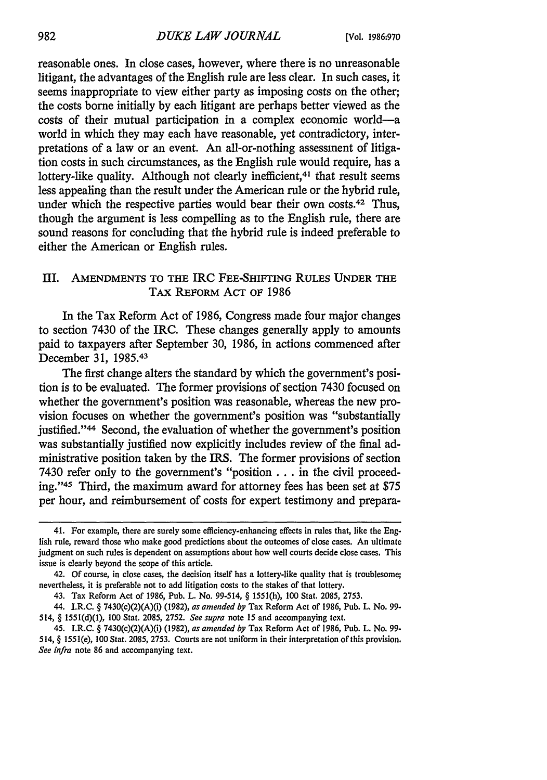reasonable ones. In close cases, however, where there is no unreasonable litigant, the advantages of the English rule are less clear. In such cases, it seems inappropriate to view either party as imposing costs on the other; the costs borne initially by each litigant are perhaps better viewed as the costs of their mutual participation in a complex economic world-a world in which they may each have reasonable, yet contradictory, interpretations of a law or an event. An all-or-nothing assessment of litigation costs in such circumstances, as the English rule would require, has a lottery-like quality. Although not clearly inefficient,<sup>41</sup> that result seems less appealing than the result under the American rule or the hybrid rule, under which the respective parties would bear their own costs.<sup>42</sup> Thus, though the argument is less compelling as to the English rule, there are sound reasons for concluding that the hybrid rule is indeed preferable to either the American or English rules.

## III. **AMENDMENTS** TO **THE** IRC **FEE-SHIFTING RULES UNDER THE TAx** REFORM **ACT** OF 1986

In the Tax Reform Act of 1986, Congress made four major changes to section 7430 of the IRC. These changes generally apply to amounts paid to taxpayers after September 30, 1986, in actions commenced after December 31, 1985.<sup>43</sup>

The first change alters the standard by which the government's position is to be evaluated. The former provisions of section 7430 focused on whether the government's position was reasonable, whereas the new provision focuses on whether the government's position was "substantially justified."<sup>44</sup> Second, the evaluation of whether the government's position was substantially justified now explicitly includes review of the final administrative position taken by the IRS. The former provisions of section 7430 refer only to the government's "position ... in the civil proceeding."<sup>45</sup> Third, the maximum award for attorney fees has been set at \$75 per hour, and reimbursement of costs for expert testimony and prepara-

<sup>41.</sup> For example, there are surely some efficiency-enhancing effects in rules that, like the English rule, reward those who make good predictions about the outcomes of close cases. An ultimate judgment on such rules is dependent on assumptions about how well courts decide close cases. This issue is clearly beyond the scope of this article.

<sup>42.</sup> Of course, in close cases, the decision itself has a lottery-like quality that is troublesome; nevertheless, it is preferable not to add litigation costs to the stakes of that lottery.

<sup>43.</sup> Tax Reform Act of 1986, Pub. L. No. 99-514, § 1551(h), **100** Stat. 2085, 2753.

<sup>44.</sup> I.R.C. § 7430(c)(2)(A)(i) (1982), *as amended by* Tax Reform Act of 1986, Pub. L. No. **99-** 514, § 1551(d)(1), 100 Stat. 2085, 2752. *See supra* note 15 and accompanying text.

<sup>45.</sup> I.R.C. § 7430(c)(2)(A)(i) (1982), *as amended by* Tax Reform Act of 1986, Pub. L. No. **99-** 514, § 1551(e), **100** Stat. 2085, 2753. Courts are not uniform in their interpretation of this provision. *See infra* note 86 and accompanying text.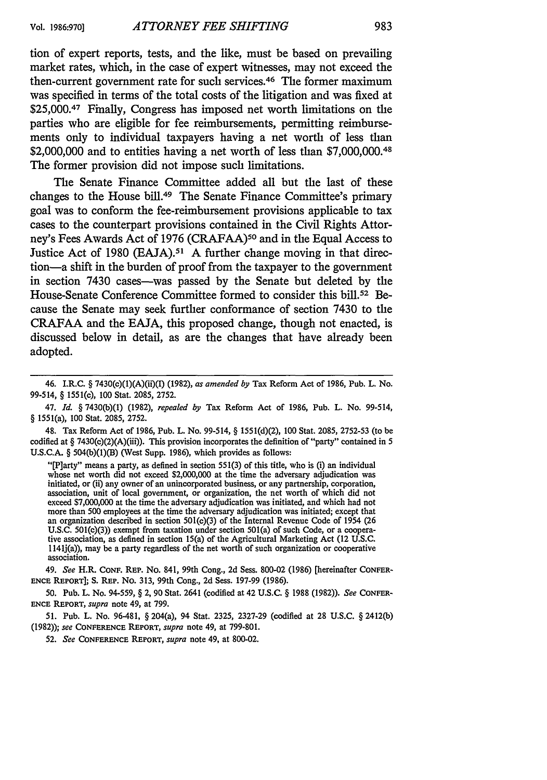tion of expert reports, tests, and the like, must be based on prevailing market rates, which, in the case of expert witnesses, may not exceed the then-current government rate for such services. 46 The former maximum was specified in terms of the total costs of the litigation and was fixed at \$25,000.<sup>47</sup> Finally, Congress has imposed net worth limitations on the parties who are eligible for fee reimbursements, permitting reimbursements only to individual taxpayers having a net worth of less than \$2,000,000 and to entities having a net worth of less than \$7,000,000.<sup>48</sup> The former provision did not impose such limitations.

The Senate Finance Committee added all but the last of these changes to the House bill.49 The Senate Finance Committee's primary goal was to conform the fee-reimbursement provisions applicable to tax cases to the counterpart provisions contained in the Civil Rights Attorney's Fees Awards Act of **1976** (CRAFAA) 5° and in the Equal Access to Justice Act of **1980 (EAJA).5 1 A** further change moving in that direction-a shift in the burden of proof from the taxpayer to the government in section 7430 cases-was passed **by** the Senate but deleted **by** the House-Senate Conference Committee formed to consider this **bill.5 <sup>2</sup>**Because the Senate may seek further conformance of section 7430 to the CRAFAA and the **EAJA,** this proposed change, though not enacted, is discussed below in detail, as are the changes that have already been adopted.

48. Tax Reform Act of 1986, Pub. L. No. 99-514, § 1551(d)(2), 100 Stat. 2085, 2752-53 (to be codified at § 7430(c)(2)(A)(iii)). This provision incorporates the definition of "party" contained in 5 U.S.C.A. § 504(b)(1)(B) (West Supp. 1986), which provides as follows:

"[P]arty" means a party, as defined in section 551(3) of this title, who is (i) an individual whose net worth did not exceed \$2,000,000 at the time the adversary adjudication was initiated, or (ii) any owner of an unincorporated business, or any partnership, corporation, association, unit of local government, or organization, the net worth of which did not exceed \$7,000,000 at the time the adversary adjudication was initiated, and which had not more than **500** employees at the time the adversary adjudication was initiated; except that an organization described in section 501(c)(3) of the Internal Revenue Code of 1954 (26 U.S.C. 501(c)(3)) exempt from taxation under section 501(a) of such Code, or a cooperative association, as defined in section 15(a) of the Agricultural Marketing Act (12 U.S.C. 1141j(a)), may be a party regardless of the net worth of such organization or cooperative association.

49. *See* H.R. **CONF.** REP. No. 841, 99th Cong., 2d Sess. 800-02 (1986) [hereinafter **CONFER-ENCE** REPORT]; **S. REP.** No. 313, 99th Cong., 2d Sess. 197-99 (1986).

**50.** Pub. L. No. 94-559, § 2, 90 Stat. 2641 (codified at 42 U.S.C. § 1988 (1982)). *See* **CONFER-ENCE REPORT,** *supra* note 49, at 799.

51. Pub. L. No. 96-481, § 204(a), 94 Stat. 2325, **2327-29** (codified at 28 U.S.C. § 2412(b) (1982)); *see* **CONFERENCE REPORT,** *supra* note 49, at 799-801.

**52.** *See* **CONFERENCE REPORT,** *supra* note 49, at 800-02.

<sup>46.</sup> I.R.C. § 7430(c)(1)(A)(ii)(1) (1982), *as amended by* Tax Reform Act of 1986, Pub. L. No. 99-514, § 1551(c), 100 Stat. 2085, 2752.

<sup>47.</sup> *Id.* § 7430(b)(1) (1982), *repealed by* Tax Reform Act of 1986, Pub. L. No. 99-514, § 1551(a), 100 Stat. 2085, 2752.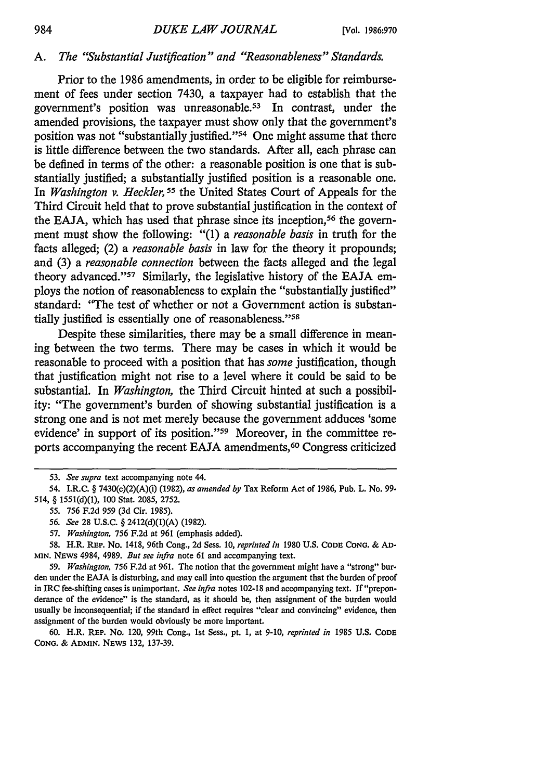## *A. The "Substantial Justification" and "'Reasonableness" Standards.*

Prior to the 1986 amendments, in order to be eligible for reimbursement of fees under section 7430, a taxpayer had to establish that the government's position was unreasonable.<sup>53</sup> In contrast, under the amended provisions, the taxpayer must show only that the government's position was not "substantially justified."<sup>54</sup> One might assume that there is little difference between the two standards. After all, each phrase can be defined in terms of the other: a reasonable position is one that is substantially justified; a substantially justified position is a reasonable one. In *Washington v. Heckler, 55* the United States Court of Appeals for the Third Circuit held that to prove substantial justification in the context of the EAJA, which has used that phrase since its inception,<sup>56</sup> the government must show the following: "(1) a *reasonable basis* in truth for the facts alleged; (2) a *reasonable basis* in law for the theory it propounds; and (3) a *reasonable connection* between the facts alleged and the legal theory advanced."<sup>57</sup> Similarly, the legislative history of the EAJA employs the notion of reasonableness to explain the "substantially justified" standard: "The test of whether or not a Government action is substantially justified is essentially one of reasonableness."<sup>58</sup>

Despite these similarities, there may be a small difference in meaning between the two terms. There may be cases in which it would be reasonable to proceed with a position that has *some* justification, though that justification might not rise to a level where it could be said to be substantial. In *Washington,* the Third Circuit hinted at such a possibility: "The government's burden of showing substantial justification is a strong one and is not met merely because the government adduces 'some evidence' in support of its position."<sup>59</sup> Moreover, in the committee reports accompanying the recent EAJA amendments, 60 Congress criticized

60. H.R. REP. No. 120, 99th Cong., 1st Sess., pt. 1, at 9-10, *reprinted in* 1985 **U.S. CODE CONG. &** ADMIN. **NEWS** 132, 137-39.

*<sup>53.</sup> See supra* text accompanying note 44.

<sup>54.</sup> I.R.C. § 7430(c)(2)(A)(i) **(1982),** *as amended by* Tax Reform Act of 1986, Pub. L. No. 99- 514, § 1551(d)(1), **100** Stat. 2085, 2752.

**<sup>55. 756</sup>** F.2d 959 (3d Cir. 1985).

*<sup>56.</sup> See* **28 U.S.C.** § 2412(d)(1)(A) (1982).

*<sup>57.</sup> Washington,* **756 F.2d** at **961** (emphasis added).

**<sup>58.</sup> H.R. REP. No. 1418, 96th Cong., 2d Sess.** *10, reprinted in* **1980 U.S. CODE CONG. & AD-MIN.** NEWS 4984, 4989. *But see infra* note 61 and accompanying text.

<sup>59.</sup> *Washington,* 756 F.2d at 961. The notion that the government might have a "strong" burden under the EAJA is disturbing, and may call into question the argument that the burden of proof in IRC fee-shifting cases is unimportant. *See infra* notes 102-18 and accompanying text. If"preponderance of the evidence" is the standard, as it should be, then assignment of the burden would usually be inconsequential; if the standard in effect requires "clear and convincing" evidence, then assignment of the burden would obviously be more important.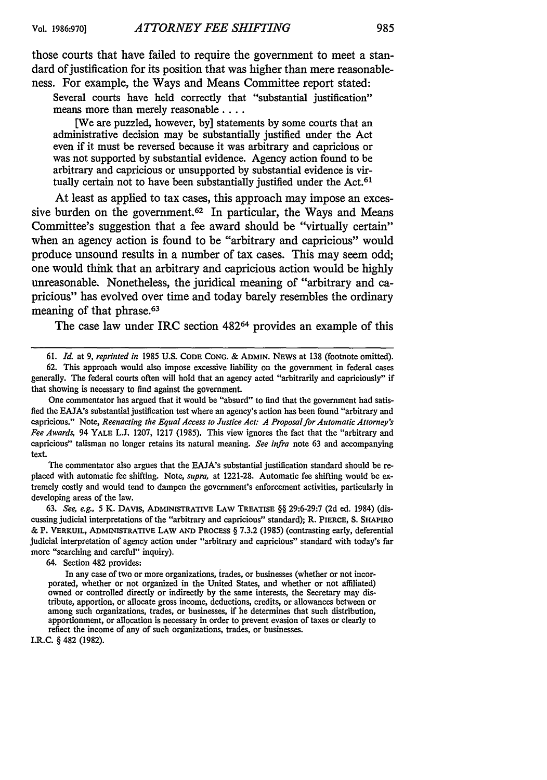those courts that have failed to require the government to meet a standard of justification for its position that was higher than mere reasonableness. For example, the Ways and Means Committee report stated:

Several courts have held correctly that "substantial justification" means more than merely reasonable **....**

[We are puzzled, however, by] statements by some courts that an administrative decision may be substantially justified under the Act even if it must be reversed because it was arbitrary and capricious or was not supported by substantial evidence. Agency action found to be arbitrary and capricious or unsupported by substantial evidence is virtually certain not to have been substantially justified under the Act.<sup>61</sup>

At least as applied to tax cases, this approach may impose an excessive burden on the government.<sup>62</sup> In particular, the Ways and Means Committee's suggestion that a fee award should be "virtually certain" when an agency action is found to be "arbitrary and capricious" would produce unsound results in a number of tax cases. This may seem odd; one would think that an arbitrary and capricious action would be highly unreasonable. Nonetheless, the juridical meaning of "arbitrary and capricious" has evolved over time and today barely resembles the ordinary meaning of that phrase.<sup>63</sup>

The case law under IRC section 482<sup>64</sup> provides an example of this

62. This approach would also impose excessive liability on the government in federal cases generally. The federal courts often will hold that an agency acted "arbitrarily and capriciously" if that showing is necessary to find against the government.

One commentator has argued that it would be "absurd" to find that the government had satisfied the EAJA's substantial justification test where an agency's action has been found "arbitrary and capricious." Note, *Reenacting the Equal Access to Justice Act: A Proposal for Automatic Attorney's Fee Awards,* 94 YALE L.J. 1207, 1217 (1985). This view ignores the fact that the "arbitrary and capricious" talisman no longer retains its natural meaning. *See infra* note 63 and accompanying text.

The commentator also argues that the EAJA's substantial justification standard should be replaced with automatic fee shifting. Note, *supra,* at 1221-28. Automatic fee shifting would be extremely costly and would tend to dampen the government's enforcement activities, particularly in developing areas of the law.

**63.** *See, e.g.,* 5 K. DAVIS, ADMINISTRATIVE LAW TREATISE §§ 29:6-29:7 (2d ed. 1984) (discussing judicial interpretations of the "arbitrary and capricious" standard); R. PIERCE, **S. SHAPIRO &** P. VERKUIL, ADMINISTRATIVE LAW **AND** PROCESS § 7.3.2 (1985) (contrasting early, deferential judicial interpretation of agency action under "arbitrary and capricious" standard with today's far more "searching and careful" inquiry).

64. Section 482 provides:

I.R.C. § 482 (1982).

<sup>61.</sup> *Id.* at 9, *reprinted in* 1985 U.S. CODE **CONG.** & **ADMIN.** NEWS at 138 (footnote omitted).

In any case of two or more organizations, trades, or businesses (whether or not incorporated, whether or not organized in the United States, and whether or not affiliated) owned or controlled directly or indirectly **by** the same interests, the Secretary may distribute, apportion, or allocate gross income, deductions, credits, or allowances between or among such organizations, trades, or businesses, if he determines that such distribution, apportionment, or allocation is necessary in order to prevent evasion of taxes or clearly to reflect the income of any of such organizations, trades, or businesses.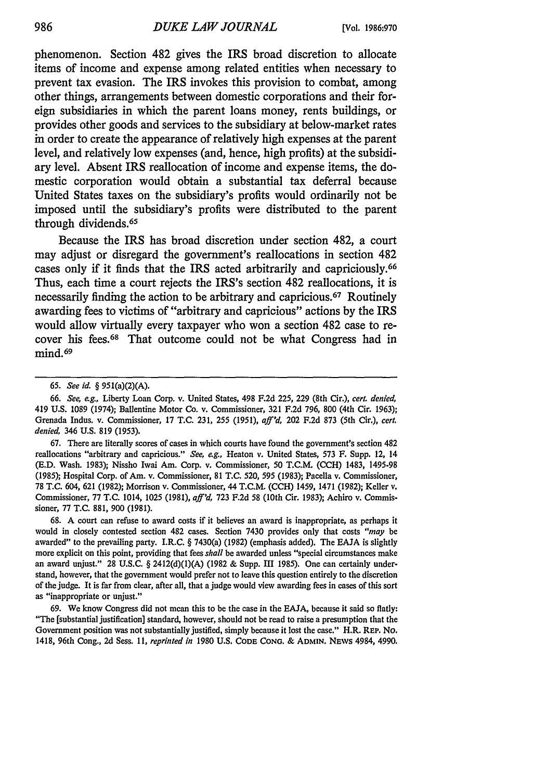phenomenon. Section 482 gives the IRS broad discretion to allocate items of income and expense among related entities when necessary to prevent tax evasion. The IRS invokes this provision to combat, among other things, arrangements between domestic corporations and their foreign subsidiaries in which the parent loans money, rents buildings, or provides other goods and services to the subsidiary at below-market rates in order to create the appearance of relatively high expenses at the parent level, and relatively low expenses (and, hence, high profits) at the subsidiary level. Absent IRS reallocation of income and expense items, the domestic corporation would obtain a substantial tax deferral because United States taxes on the subsidiary's profits would ordinarily not be imposed until the subsidiary's profits were distributed to the parent through dividends.<sup>65</sup>

Because the IRS has broad discretion under section 482, a court may adjust or disregard the government's reallocations in section 482 cases only if it finds that the IRS acted arbitrarily and capriciously.<sup>66</sup> Thus, each time a court rejects the IRS's section 482 reallocations, it is necessarily finding the action to be arbitrary and capricious.<sup>67</sup> Routinely awarding fees to victims of "arbitrary and capricious" actions **by** the IRS would allow virtually every taxpayer who won a section 482 case to recover his fees.68 That outcome could not be what Congress had in mind.<sup>69</sup>

67. There are literally scores of cases in which courts have found the government's section 482 reallocations "arbitrary and capricious." *See, ag.,* Heaton v. United States, 573 F. Supp. 12, 14 (E.D. Wash. 1983); Nissho Iwai Am. Corp. v. Commissioner, 50 T.C.M. (CCH) 1483, 1495-98 (1985); Hospital Corp. of Am. v. Commissioner, 81 T.C. 520, 595 (1983); Pacella v. Commissioner, 78 T.C. 604, 621 (1982); Morrison v. Commissioner, 44 T.C.M. **(CCH)** 1459, 1471 (1982); Keller v. Commissioner, 77 **T.C.** 1014, 1025 (1981), *aff'd,* 723 F.2d 58 (10th Cir. 1983); Achiro v. Commissioner, 77 T.C. 881, 900 (1981).

68. A court can refuse to award costs if it believes an award is inappropriate, as perhaps it would in closely contested section 482 cases. Section 7430 provides only that costs *"may* **be** awarded" to the prevailing party. I.R.C. § 7430(a) (1982) (emphasis added). The EAJA is slightly more explicit on this point, providing that fees *shall* be awarded unless "special circumstances make an award unjust." 28 U.S.C. § 2412(d)(1)(A) (1982 & Supp. III 1985). One can certainly understand, however, that the government would prefer not to leave this question entirely to the discretion of thejudge. It is far from clear, after all, that a judge would view awarding fees in cases of this sort as "inappropriate or unjust."

69. We know Congress did not mean this to be the case in the EAJA, because it said so flatly: "The [substantial justification] standard, however, should not be read to raise a presumption that the Government position was not substantially justified, simply because it lost the case." H.R. REP. No. 1418, 96th Cong., 2d Sess. *11, reprinted in* 1980 U.S. **CODE CONG. & ADMIN.** NEWs 4984, 4990.

*<sup>65.</sup> See id.* § 951(a)(2)(A).

<sup>66.</sup> *See, eg.,* Liberty Loan Corp. v. United States, 498 F.2d 225, 229 (8th Cir.), *cert. denied,* 419 U.S. 1089 (1974); Ballentine Motor Co. v. Commissioner, 321 F.2d 796, 800 (4th Cir. 1963); Grenada Indus. v. Commissioner, 17 T.C. 231, 255 (1951), *aff'd,* 202 F.2d 873 (5th Cir.), *cert. denied,* 346 U.S. 819 (1953).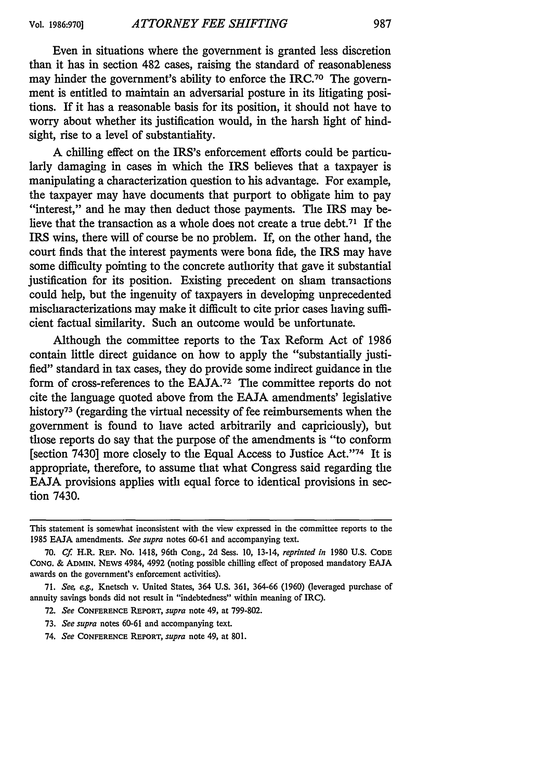Even in situations where the government is granted less discretion than it has in section 482 cases, raising the standard of reasonableness may hinder the government's ability to enforce the IRC.<sup>70</sup> The government is entitled to maintain an adversarial posture in its litigating positions. If it has a reasonable basis for its position, it should not have to worry about whether its justification would, in the harsh light of hindsight, rise to a level of substantiality.

A chilling effect on the IRS's enforcement efforts could be particularly damaging in cases in which the IRS believes that a taxpayer is manipulating a characterization question to his advantage. For example, the taxpayer may have documents that purport to obligate him to pay "interest," and he may then deduct those payments. The IRS may believe that the transaction as a whole does not create a true debt.71 If the IRS wins, there will of course be no problem. If, on the other hand, the court finds that the interest payments were bona fide, the IRS may have some difficulty pointing to the concrete authority that gave it substantial justification for its position. Existing precedent on sham transactions could help, but the ingenuity of taxpayers in developing unprecedented mischaracterizations may make it difficult to cite prior cases having sufficient factual similarity. Such an outcome would be unfortunate.

Although the committee reports to the Tax Reform Act of 1986 contain little direct guidance on how to apply the "substantially justified" standard in tax cases, they do provide some indirect guidance in the form of cross-references to the EAJA.72 The committee reports do not cite the language quoted above from the EAJA amendments' legislative history<sup>73</sup> (regarding the virtual necessity of fee reimbursements when the government is found to have acted arbitrarily and capriciously), but those reports do say that the purpose of the amendments is "to conform [section 7430] more closely to the Equal Access to Justice Act."<sup>74</sup> It is appropriate, therefore, to assume that what Congress said regarding the EAJA provisions applies with equal force to identical provisions in section 7430.

- **72.** *See* **CONFERENCE** REPORT, *supra* note 49, at 799-802.
- 73. *See supra* notes 60-61 and accompanying text.
- 74. *See* **CONFERENCE REPORT,** *supra* note 49, at 801.

This statement is somewhat inconsistent with the view expressed in the committee reports to the 1985 EAJA amendments. *See supra* notes 60-61 and accompanying text.

<sup>70.</sup> *Cf* H.R. REP. No. 1418, 96th Cong., 2d Sess. 10, 13-14, *reprinted in* 1980 U.S. **CODE CONG.** & **ADMIN.** NEvs 4984, 4992 (noting possible chilling effect of proposed mandatory EAJA awards on the government's enforcement activities).

<sup>71.</sup> *See,* eg,, Knetsch v. United States, 364 U.S. 361, 364-66 (1960) (leveraged purchase of annuity savings bonds did not result in "indebtedness" within meaning of IRC).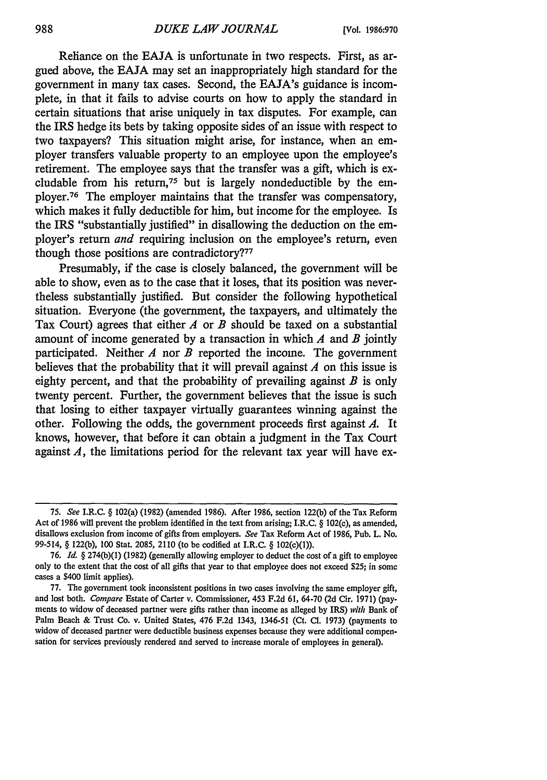Reliance on the **EAJA** is unfortunate in two respects. First, as argued above, the EAJA may set an inappropriately high standard for the government in many tax cases. Second, the EAJA's guidance is incomplete, in that it fails to advise courts on how to apply the standard in certain situations that arise uniquely in tax disputes. For example, can the IRS hedge its bets by taking opposite sides of an issue with respect to two taxpayers? This situation might arise, for instance, when an employer transfers valuable property to an employee upon the employee's retirement. The employee says that the transfer was a gift, which is excludable from his return,<sup>75</sup> but is largely nondeductible by the employer.76 The employer maintains that the transfer was compensatory, which makes it fully deductible for him, but income for the employee. Is the IRS "substantially justified" in disallowing the deduction on the employer's return *and* requiring inclusion on the employee's return, even though those positions are contradictory?<sup>77</sup>

Presumably, if the case is closely balanced, the government will be able to show, even as to the case that it loses, that its position was nevertheless substantially justified. But consider the following hypothetical situation. Everyone (the government, the taxpayers, and ultimately the Tax Court) agrees that either *A* or *B* should be taxed on a substantial amount of income generated by a transaction in which *A* and *B* jointly participated. Neither *A* nor *B* reported the income. The government believes that the probability that it will prevail against *A* on this issue is eighty percent, and that the probability of prevailing against *B* is only twenty percent. Further, the government believes that the issue is such that losing to either taxpayer virtually guarantees winning against the other. Following the odds, the government proceeds first against *A.* It knows, however, that before it can obtain a judgment in the Tax Court against *A,* the limitations period for the relevant tax year will have ex-

<sup>75.</sup> *See* I.R.C. § 102(a) (1982) (amended 1986). After 1986, section 122(b) of the Tax Reform Act of 1986 will prevent the problem identified in the text from arising; I.R.C. § 102(e), as amended, disallows exclusion from income of gifts from employers. *See* Tax Reform Act of 1986, Pub. L. No. 99-514, § 122(b), **100** Stat. 2085, 2110 (to be codified at I.R.C. § 102(c)(1)).

<sup>76.</sup> *Id.* § 274(b)(1) (1982) (generally allowing employer to deduct the cost of a gift to employee only to the extent that the cost of all gifts that year to that employee does not exceed **\$25;** in some cases a \$400 limit applies).

<sup>77.</sup> The government took inconsistent positions in two cases involving the same employer gift, and lost both. *Compare* Estate of Carter v. Commissioner, 453 F.2d 61, 64-70 (2d Cir. 1971) (payments to widow of deceased partner were gifts rather than income as alleged by IRS) *with* Bank of Palm Beach & Trust Co. v. United States, 476 F.2d 1343, 1346-51 (Ct. **Cl.** 1973) (payments to widow of deceased partner were deductible business expenses because they were additional compensation for services previously rendered and served to increase morale of employees in general).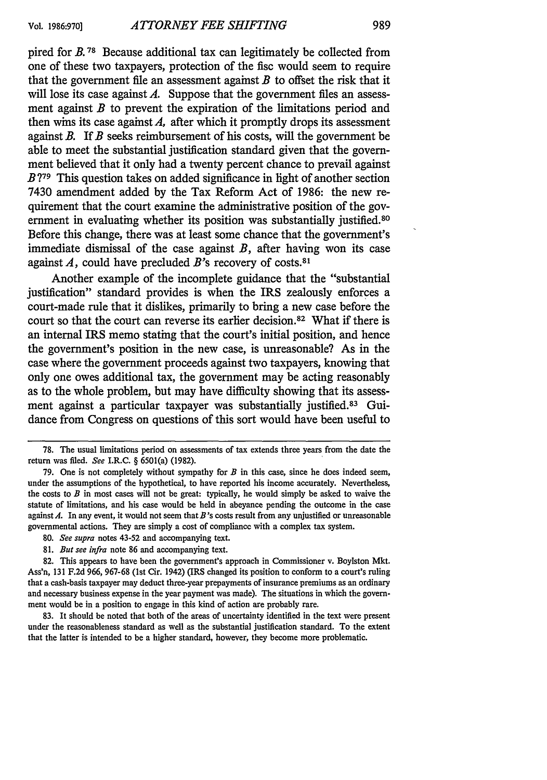pired for *B. 78* Because additional tax can legitimately be collected from one of these two taxpayers, protection of the fisc would seem to require that the government file an assessment against  $B$  to offset the risk that it will lose its case against *A*. Suppose that the government files an assessment against *B* to prevent the expiration of the limitations period and then wins its case against  $A$ , after which it promptly drops its assessment against *B.* If *B* seeks reimbursement of his costs, will the government be able to meet the substantial justification standard given that the government believed that it only had a twenty percent chance to prevail against *B* **79** This question takes on added significance in light of another section 7430 amendment added by the Tax Reform Act of 1986: the new requirement that the court examine the administrative position of the government in evaluating whether its position was substantially justified.<sup>80</sup> Before this change, there was at least some chance that the government's immediate dismissal of the case against *B,* after having won its case against *A,* could have precluded *B's* recovery of costs. <sup>81</sup>

Another example of the incomplete guidance that the "substantial justification" standard provides is when the IRS zealously enforces a court-made rule that it dislikes, primarily to bring a new case before the court so that the court can reverse its earlier decision.82 What if there is an internal IRS memo stating that the court's initial position, and hence the government's position in the new case, is unreasonable? As in the case where the government proceeds against two taxpayers, knowing that only one owes additional tax, the government may be acting reasonably as to the whole problem, but may have difficulty showing that its assessment against a particular taxpayer was substantially justified.<sup>83</sup> Guidance from Congress on questions of this sort would have been useful to

<sup>78.</sup> The usual limitations period on assessments of tax extends three years from the date the return was filed. *See* I.R.C. § 6501(a) (1982).

<sup>79.</sup> One is not completely without sympathy for *B* in this case, since he does indeed seem, under the assumptions of the hypothetical, to have reported his income accurately. Nevertheless, the costs to  $B$  in most cases will not be great: typically, he would simply be asked to waive the statute of limitations, and his case would be held in abeyance pending the outcome in the case against *A.* In any event, it would not seem that *B's* costs result from any unjustified or unreasonable governmental actions. They are simply a cost of compliance with a complex tax system.

<sup>80.</sup> *See supra* notes 43-52 and accompanying text.

<sup>81.</sup> *But see infra* note 86 and accompanying text.

<sup>82.</sup> This appears to have been the government's approach in Commissioner v. Boylston Mkt. Ass'n, 131 F.2d 966, 967-68 (1st Cir. 1942) (IRS changed its position to conform to a court's ruling that a cash-basis taxpayer may deduct three-year prepayments of insurance premiums as an ordinary and necessary business expense in the year payment was made). The situations in which the government would be in a position to engage in this kind of action are probably rare.

<sup>83.</sup> It should be noted that both of the areas of uncertainty identified in the text were present under the reasonableness standard as well as the substantial justification standard. To the extent that the latter is intended to be a higher standard, however, they become more problematic.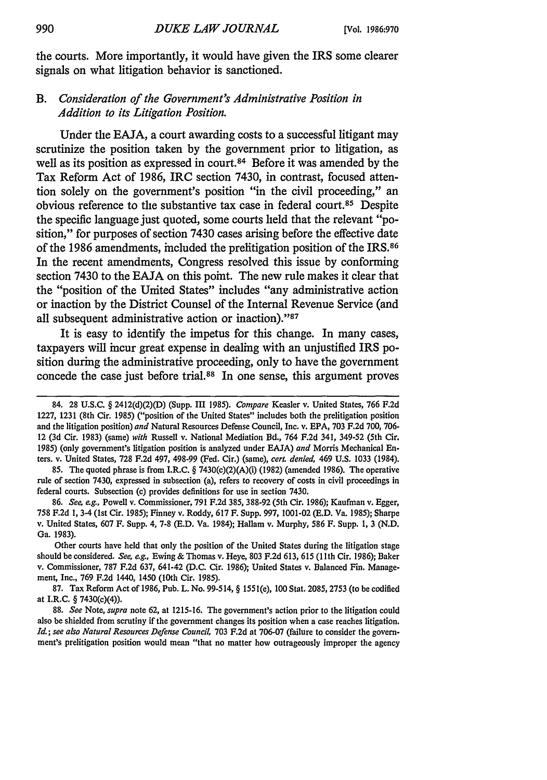the courts. More importantly, it would have given the IRS some clearer signals on what litigation behavior is sanctioned.

## *B. Consideration of the Government's Administrative Position in Addition to its Litigation Position.*

Under the **EAJA,** a court awarding costs to a successful litigant may scrutinize the position taken **by** the government prior to litigation, as well as its position as expressed in court.<sup>84</sup> Before it was amended by the Tax Reform Act of **1986,** IRC section 7430, in contrast, focused attention solely on the government's position "in the civil proceeding," an obvious reference to the substantive tax case in federal court.85 Despite the specific language just quoted, some courts held that the relevant "position," for purposes of section 7430 cases arising before the effective date of the **1986** amendments, included the prelitigation position of the IRS. <sup>86</sup> In the recent amendments, Congress resolved this issue **by** conforming section 7430 to the **EAJA** on this point. The new rule makes it clear that the "position of the United States" includes "any administrative action or inaction **by** the District Counsel of the Internal Revenue Service (and all subsequent administrative action or inaction)."87

It is easy to identify the impetus for this change. In many cases, taxpayers will incur great expense in dealing with an unjustified IRS position during the administrative proceeding, only to have the government concede the case just before trial.88 In one sense, this argument proves

Other courts have held that only the position of the United States during the litigation stage should be considered. *See, eg.,* Ewing & Thomas v. Heye, 803 F.2d 613, 615 (11 th Cir. 1986); Baker v. Commissioner, 787 F.2d 637, 641-42 (D.C. Cir. 1986); United States v. Balanced Fin. Management, Inc., 769 F.2d 1440, 1450 (10th Cir. 1985).

87. Tax Reform Act of 1986, Pub. L. No. 99-514, § 1551(e), 100 Stat. 2085, 2753 (to be codified at I.R.C. § 7430(c)(4)).

88. *See* Note, *supra* note 62, at 1215-16. The government's action prior to the litigation could also be shielded from scrutiny if the government changes its position when a case reaches litigation. *Id.; see also Natural Resources Defense Council,* 703 F.2d at 706-07 (failure to consider the government's prelitigation position would mean "that no matter how outrageously improper the agency

<sup>84. 28</sup> U.S.C. § 2412(d)(2)(D) (Supp. III *1985). Compare* Keasler v. United States, 766 F.2d 1227, 1231 (8th Cir. 1985) ("position of the United States" includes both the prelitigation position and the litigation position) *and* Natural Resources Defense Council, Inc. v. EPA, 703 F.2d 700, 706- 12 (3d Cir. 1983) (same) *with* Russell v. National Mediation Bd., 764 F.2d 341, 349-52 (5th Cir. **1985)** (only government's litigation position is analyzed under EAJA) *and* Morris Mechanical Enters. v. United States, 728 F.2d 497, 498-99 (Fed. Cir.) (same), *cert. denied,* 469 U.S, 1033 (1984).

<sup>85.</sup> The quoted phrase is from I.R.C. § 7430(c)(2)(A)(i) (1982) (amended 1986). The operative rule of section 7430, expressed in subsection (a), refers to recovery of costs in civil proceedings in federal courts. Subsection (c) provides definitions for use in section 7430.

<sup>86.</sup> *See, eg.,* Powell v. Commissioner, 791 F.2d 385, 388-92 (5th Cir. 1986); Kaufman v. Egger, 758 F.2d 1, 3-4 (1st Cir. 1985); Finney v. Roddy, 617 F. Supp. 997, 1001-02 (E.D. Va. 1985); Sharpe v. United States, 607 F. Supp. 4, 7-8 (E.D. Va. 1984); Hallam v. Murphy, 586 F. Supp. 1, 3 (N.D. Ga. 1983).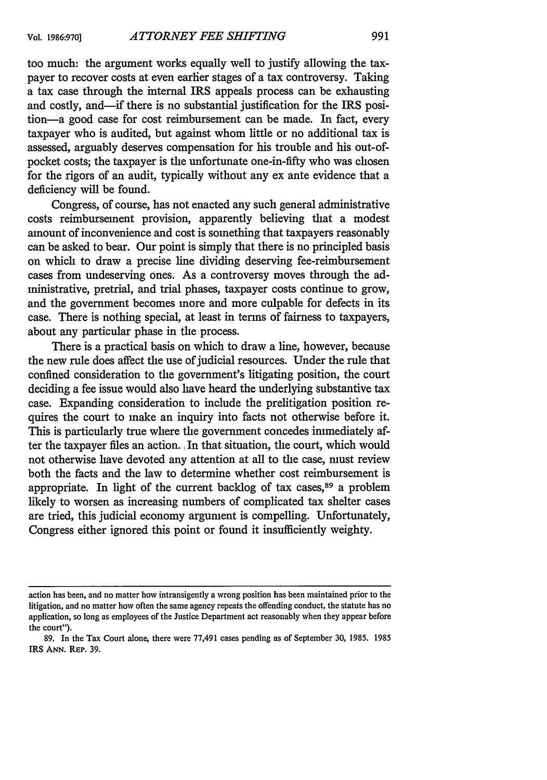## too much: the argument works equally well to justify allowing the taxpayer to recover costs at even earlier stages of a tax controversy. Taking a tax case through the internal IRS appeals process can be exhausting and costly, and—if there is no substantial justification for the IRS position-a good case for cost reimbursement can be made. In fact, every taxpayer who is audited, but against whom little or no additional tax is assessed, arguably deserves compensation for his trouble and his out-ofpocket costs; the taxpayer is the unfortunate one-in-fifty who was chosen for the rigors of an audit, typically without any ex ante evidence that a deficiency will be found.

Congress, of course, has not enacted any such general administrative costs reimbursement provision, apparently believing that a modest amount of inconvenience and cost is something that taxpayers reasonably can be asked to bear. Our point is simply that there is no principled basis on which to draw a precise line dividing deserving fee-reimbursement cases from undeserving ones. As a controversy moves through the administrative, pretrial, and trial phases, taxpayer costs continue to grow, and the government becomes more and more culpable for defects in its case. There is nothing special, at least in terms of fairness to taxpayers, about any particular phase in the process.

There is a practical basis on which to draw a line, however, because the new rule does affect the use of judicial resources. Under the rule that confined consideration to the government's litigating position, the court deciding a fee issue would also have heard the underlying substantive tax case. Expanding consideration to include the prelitigation position requires the court to make an inquiry into facts not otherwise before it. This is particularly true where the government concedes immediately after the taxpayer files an action., In that situation, the court, which would not otherwise have devoted any attention at all to the case, must review both the facts and the law to determine whether cost reimbursement is appropriate. In light of the current backlog of tax cases, 89 a problem likely to worsen as increasing numbers of complicated tax shelter cases are tried, this judicial economy argument is compelling. Unfortunately, Congress either ignored this point or found it insufficiently weighty.

action has been, and no matter how intransigently a wrong position has been maintained prior to the litigation, and no matter how often the same agency repeats the offending conduct, the statute has no application, so long as employees of the Justice Department act reasonably when they appear before the court").

<sup>89.</sup> In the Tax Court alone, there were 77,491 cases pending as of September **30,** 1985. 1985 IRS **ANN.** REP. **39.**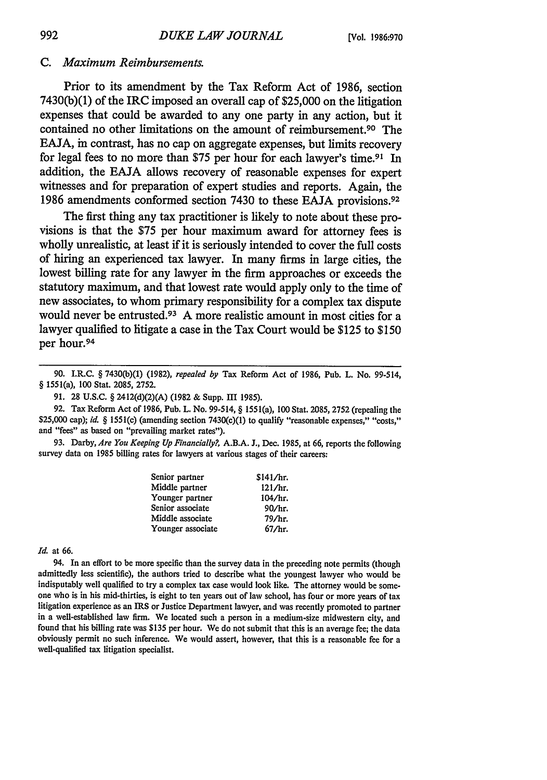#### *C. Maximum Reimbursements.*

Prior to its amendment **by** the Tax Reform Act of **1986,** section **7430(b)(1)** of the IRC imposed an overall cap of **\$25,000** on the litigation expenses that could be awarded to any one party in any action, but it contained no other limitations on the amount of reimbursement.90 The **EAJA,** in contrast, has no cap on aggregate expenses, but limits recovery for legal fees to no more than **\$75** per hour for each lawyer's time.91 In addition, the **EAJA** allows recovery of reasonable expenses for expert witnesses and for preparation of expert studies and reports. Again, the **1986** amendments conformed section 7430 to these **EAJA** provisions. <sup>92</sup>

The first thing any tax practitioner is likely to note about these provisions is that the **\$75** per hour maximum award for attorney fees is wholly unrealistic, at least if it is seriously intended to cover the full costs of hiring an experienced tax lawyer. In many firms in large cities, the lowest billing rate for any lawyer in the firm approaches or exceeds the statutory maximum, and that lowest rate would apply only to the time of new associates, to whom primary responsibility for a complex tax dispute would never be entrusted.<sup>93</sup> A more realistic amount in most cities for a lawyer qualified to litigate a case in the Tax Court would be **\$125** to **\$150** per hour.<sup>94</sup>

**93.** Darby, *Are You Keeping Up Financially?,* **A.B.A. J.,** Dec. **1985,** at **66,** reports the following survey data on **1985** billing rates for lawyers at various stages of their careers:

| Senior partner    | \$141/hr. |  |
|-------------------|-----------|--|
| Middle partner    | 121/hr.   |  |
| Younger partner   | 104/hr.   |  |
| Senior associate  | 90/hr.    |  |
| Middle associate  | 79/hr.    |  |
| Younger associate | 67/hr.    |  |

#### *Id.* at **66.**

94. In an effort to be more specific than the survey data in the preceding note permits (though admittedly less scientific), the authors tried to describe what the youngest lawyer who would be indisputably well qualified to try a complex tax case would look like. The attorney would be someone who is in his mid-thirties, is eight to ten years out of law school, has four or more years of tax litigation experience as an IRS or Justice Department lawyer, and was recently promoted to partner in a well-established law firm. We located such a person in a medium-size midwestem city, and found that his billing rate was **\$135** per hour. We do not submit that this is an average fee; the data obviously permit no such inference. **We** would assert, however, that this is a reasonable fee for a well-qualified tax litigation specialist.

**<sup>90.</sup>** I.R.C. § **7430(b)(1) (1982),** *repealed by* Tax Reform Act of **1986,** Pub. L. No. 99-514, § 1551(a), **100** Stat. **2085, 2752.**

**<sup>91. 28</sup> U.S.C.** § 2412(d)(2)(A) **(1982** & Supp. **III 1985).**

**<sup>92.</sup>** Tax Reform Act of **1986,** Pub. L. No. 99-514, § 1551(a), **100** Stat. **2085, 2752** (repealing the **\$25,000** cap); *id. §* 1551(c) (amending section 7430(c)(1) to qualify "reasonable expenses," "costs," and "fees" as based on "prevailing market rates").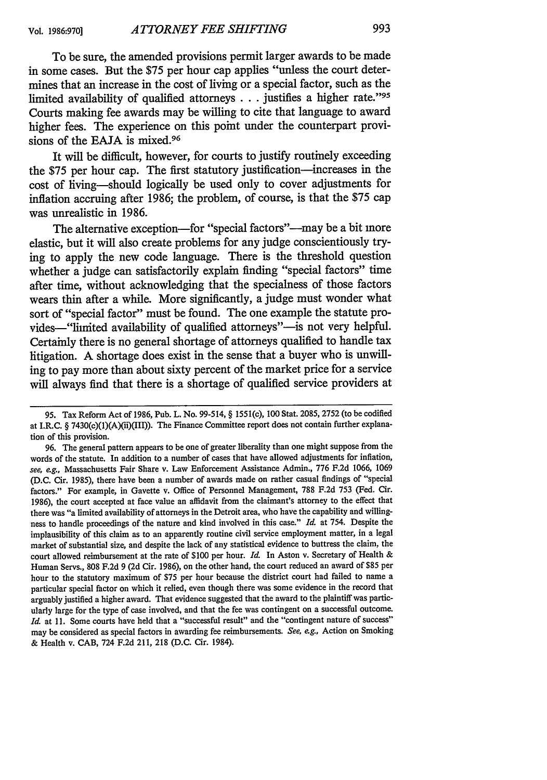To be sure, the amended provisions permit larger awards to be made in some cases. But the \$75 per hour cap applies "unless the court determines that an increase in the cost of living or a special factor, such as the limited availability of qualified attorneys  $\dots$  justifies a higher rate." 95 Courts making fee awards may be willing to cite that language to award higher fees. The experience on this point under the counterpart provisions of the **EAJA** is mixed.<sup>96</sup>

It will be difficult, however, for courts to justify routinely exceeding the \$75 per hour cap. The first statutory justification-increases in the cost of living-should logically be used only to cover adjustments for inflation accruing after 1986; the problem, of course, is that the \$75 cap was unrealistic in 1986.

The alternative exception-for "special factors"---may be a bit more elastic, but it will also create problems for any judge conscientiously trying to apply the new code language. There is the threshold question whether a judge can satisfactorily explain finding "special factors" time after time, without acknowledging that the specialness of those factors wears thin after a while. More significantly, a judge must wonder what sort of "special factor" must be found. The one example the statute provides-"limited availability of qualified attorneys"-is not very helpful. Certainly there is no general shortage of attorneys qualified to handle tax litigation. A shortage does exist in the sense that a buyer who is unwilling to pay more than about sixty percent of the market price for a service will always find that there is a shortage of qualified service providers at

<sup>95.</sup> Tax Reform Act of 1986, Pub. L. No. 99-514, § 1551(c), 100 Stat. 2085, 2752 (to be codified at I.R.C. § 7430(c)(1)(A)(ii)(III)). The Finance Committee report does not contain further explanation of this provision.

<sup>96.</sup> The general pattern appears to be one of greater liberality than one might suppose from the words of the statute. In addition to a number of cases that have allowed adjustments for inflation, see, *eg.,* Massachusetts Fair Share v. Law Enforcement Assistance Admin., 776 F.2d 1066, 1069 (D.C. Cir. 1985), there have been a number of awards made on rather casual findings of "special factors." For example, in Gavette v. Office of Personnel Management, 788 F.2d 753 (Fed. Cir. 1986), the court accepted at face value an affidavit from the claimant's attorney to the effect that there was "a limited availability of attorneys in the Detroit area, who have the capability and willingness to handle proceedings of the nature and kind involved in this case." *Id.* at 754. Despite the implausibility of this claim as to an apparently routine civil service employment matter, in a legal market of substantial size, and despite the lack of any statistical evidence to buttress the claim, the court allowed reimbursement at the rate of \$100 per hour. *Id.* In Aston v. Secretary of Health & Human Servs., 808 F.2d 9 (2d Cir. 1986), on the other hand, the court reduced an award of \$85 per hour to the statutory maximum of \$75 per hour because the district court had failed to name a particular special factor on which it relied, even though there was some evidence in the record that arguably justified a higher award. That evidence suggested that the award to the plaintiff was particularly large for the type of case involved, and that the fee was contingent on a successful outcome. *Id.* at 11. Some courts have held that a "successful result" and the "contingent nature of success" may be considered as special factors in awarding fee reimbursements. *See, e.g.,* Action on Smoking & Health v. CAB, 724 F.2d 211, 218 (D.C. Cir. 1984).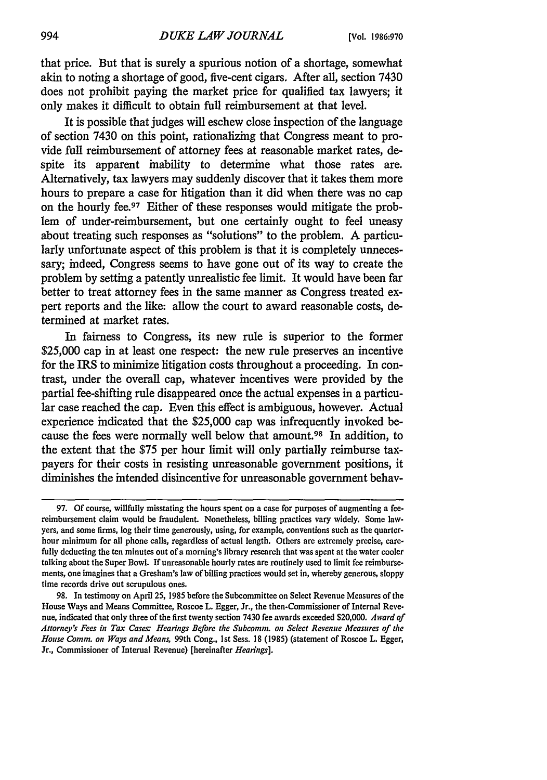that price. But that is surely a spurious notion of a shortage, somewhat akin to noting a shortage of good, five-cent cigars. After all, section 7430 does not prohibit paying the market price for qualified tax lawyers; it only makes it difficult to obtain full reimbursement at that level.

It is possible that judges will eschew close inspection of the language of section 7430 on this point, rationalizing that Congress meant to provide full reimbursement of attorney fees at reasonable market rates, despite its apparent inability to determine what those rates are. Alternatively, tax lawyers may suddenly discover that it takes them more hours to prepare a case for litigation than it did when there was no cap on the hourly fee. 97 Either of these responses would mitigate the problem of under-reimbursement, but one certainly ought to feel uneasy about treating such responses as "solutions" to the problem. A particularly unfortunate aspect of this problem is that it is completely unnecessary; indeed, Congress seems to have gone out of its way to create the problem by setting a patently unrealistic fee limit. It would have been far better to treat attorney fees in the same manner as Congress treated expert reports and the like: allow the court to award reasonable costs, determined at market rates.

In fairness to Congress, its new rule is superior to the former \$25,000 cap in at least one respect: the new rule preserves an incentive for the IRS to minimize litigation costs throughout a proceeding. In contrast, under the overall cap, whatever incentives were provided by the partial fee-shifting rule disappeared once the actual expenses in a particular case reached the cap. Even this effect is ambiguous, however. Actual experience indicated that the \$25,000 cap was infrequently invoked because the fees were normally well below that amount.98 In addition, to the extent that the \$75 per hour limit will only partially reimburse taxpayers for their costs in resisting unreasonable government positions, it diminishes the intended disincentive for unreasonable government behav-

**<sup>97.</sup> Of** course, willfully misstating the hours spent on a case for purposes of augmenting a feereimbursement claim would be fraudulent. Nonetheless, billing practices vary widely. Some lawyers, and some firms, log their time generously, using, for example, conventions such as the quarterhour minimum for all phone calls, regardless of actual length. Others are extremely precise, carefully deducting the ten minutes out of a morning's library research that was spent at the water cooler talking about the Super Bowl. If unreasonable hourly rates are routinely used to limit fee reimbursements, one imagines that a Gresham's law of billing practices would set in, whereby generous, sloppy time records drive out scrupulous ones.

<sup>98.</sup> In testimony on April 25, 1985 before the Subcommittee on Select Revenue Measures of the House Ways and Means Committee, Roscoe L. Egger, Jr., the then-Commissioner of Internal Revenue, indicated that only three of the first twenty section 7430 fee awards exceeded \$20,000. *Award of Attorney's Fees in Tax Cases: Hearings Before the Subcomm. on Select Revenue Measures of the House Comm. on Ways and Means,* 99th Cong., Ist Sess. 18 (1985) (statement of Roscoe L. Egger, Jr., Commissioner of Internal Revenue) [hereinafter *Hearings].*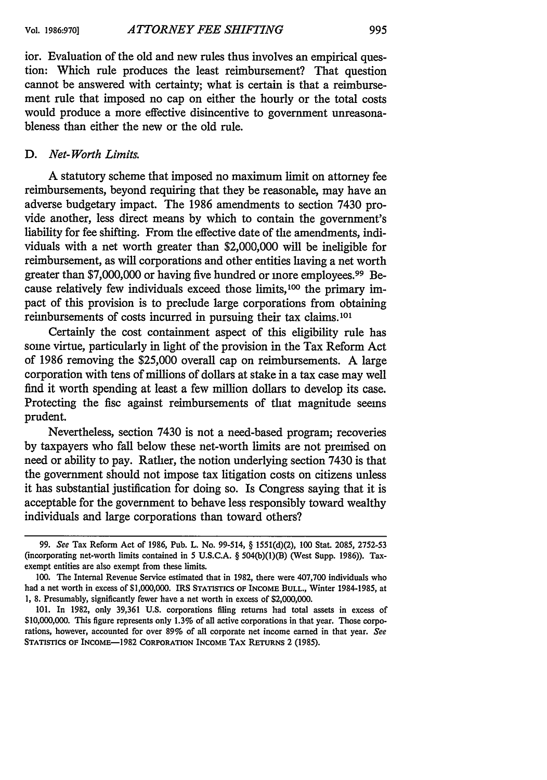ior. Evaluation of the old and new rules thus involves an empirical question: Which rule produces the least reimbursement? That question cannot be answered with certainty; what is certain is that a reimbursement rule that imposed no cap on either the hourly or the total costs would produce a more effective disincentive to government unreasonableness than either the new or the old rule.

#### *D. Net- Worth Limits.*

A statutory scheme that imposed no maximum limit on attorney fee reimbursements, beyond requiring that they be reasonable, may have an adverse budgetary impact. The 1986 amendments to section 7430 provide another, less direct means by which to contain the government's liability for fee shifting. From the effective date of the amendments, individuals with a net worth greater than \$2,000,000 will be ineligible for reimbursement, as will corporations and other entities having a net worth greater than \$7,000,000 or having five hundred or more employees.<sup>99</sup> Because relatively few individuals exceed those limits,<sup>100</sup> the primary impact of this provision is to preclude large corporations from obtaining reimbursements of costs incurred in pursuing their tax claims.<sup>101</sup>

Certainly the cost containment aspect of this eligibility rule has some virtue, particularly in light of the provision in the Tax Reform Act of 1986 removing the \$25,000 overall cap on reimbursements. A large corporation with tens of millions of dollars at stake in a tax case may well find it worth spending at least a few million dollars to develop its case. Protecting the fise against reimbursements of that magnitude seems prudent.

Nevertheless, section 7430 is not a need-based program; recoveries by taxpayers who fall below these net-worth limits are not premised on need or ability to pay. Rather, the notion underlying section 7430 is that the government should not impose tax litigation costs on citizens unless it has substantial justification for doing so. Is Congress saying that it is acceptable for the government to behave less responsibly toward wealthy individuals and large corporations than toward others?

<sup>99.</sup> *See* Tax Reform Act of 1986, Pub. L. No. 99-514, § 1551(d)(2), 100 Stat. 2085, 2752-53 (incorporating net-worth limits contained in 5 U.S.C.A. § 504(b)(1)(B) (West Supp. 1986)). Taxexempt entities are also exempt from these limits.

<sup>100.</sup> The Internal Revenue Service estimated that in 1982, there were 407,700 individuals who had a net worth in excess of \$1,000,000. IRS **STATISTICS** OF INCOME BULL., Winter 1984-1985, at 1, 8. Presumably, significantly fewer have a net worth in excess of \$2,000,000.

<sup>101.</sup> In 1982, only 39,361 U.S. corporations filing returns had total assets in excess of \$10,000,000. This figure represents only 1.3% of all active corporations in that year. Those corporations, however, accounted for over 89% of all corporate net income earned in that year. *See* **STATISTICS OF** INCOME-1982 **CORPORATION INCOME TAX RETURNS** 2 **(1985).**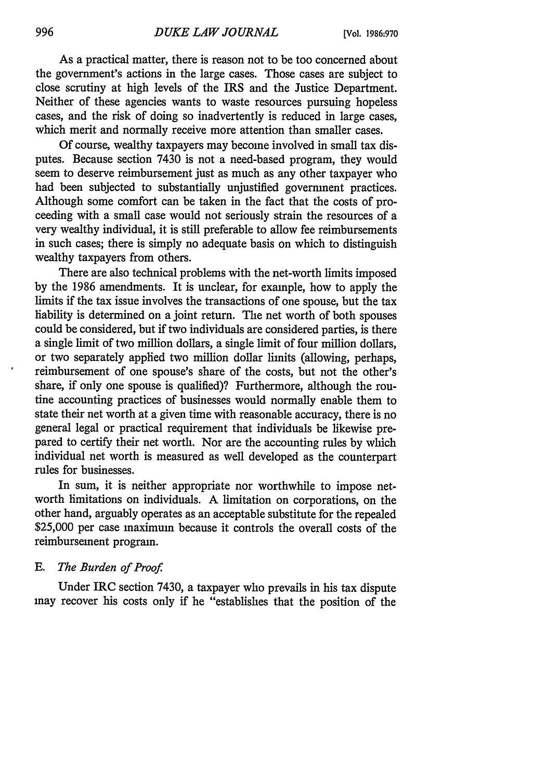As a practical matter, there is reason not to be too concerned about the government's actions in the large cases. Those cases are subject to close scrutiny at high levels of the IRS and the Justice Department. Neither of these agencies wants to waste resources pursuing hopeless cases, and the risk of doing so inadvertently is reduced in large cases, which merit and normally receive more attention than smaller cases.

Of course, wealthy taxpayers may become involved in small tax disputes. Because section 7430 is not a need-based program, they would seem to deserve reimbursement just as much as any other taxpayer who had been subjected to substantially unjustified government practices. Although some comfort can be taken in the fact that the costs of proceeding with a small case would not seriously strain the resources of a very wealthy individual, it is still preferable to allow fee reimbursements in such cases; there is simply no adequate basis on which to distinguish wealthy taxpayers from others.

There are also technical problems with the net-worth limits imposed by the 1986 amendments. It is unclear, for example, how to apply the limits if the tax issue involves the transactions of one spouse, but the tax liability is determined on a joint return. The net worth of both spouses could be considered, but if two individuals are considered parties, is there a single limit of two million dollars, a single limit of four million dollars, or two separately applied two million dollar limits (allowing, perhaps, reimbursement of one spouse's share of the costs, but not the other's share, if only one spouse is qualified)? Furthermore, although the routine accounting practices of businesses would normally enable them to state their net worth at a given time with reasonable accuracy, there is no general legal or practical requirement that individuals be likewise prepared to certify their net worth. Nor are the accounting rules by which individual net worth is measured as well developed as the counterpart rules for businesses.

In sum, it is neither appropriate nor worthwhile to impose networth limitations on individuals. A limitation on corporations, on the other hand, arguably operates as an acceptable substitute for the repealed \$25,000 per case in aximum because it controls the overall costs of the reimbursement program.

### *E. The Burden of Proof*

Under IRC section 7430, a taxpayer who prevails in his tax dispute may recover his costs only if he "establishes that the position of the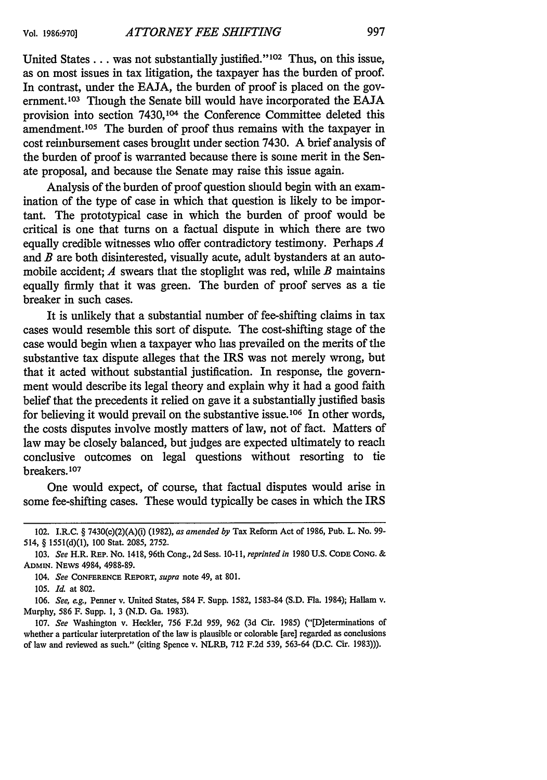United States . . . was not substantially justified."<sup>102</sup> Thus, on this issue, as on most issues in tax litigation, the taxpayer has the burden of proof. In contrast, under the EAJA, the burden of proof is placed on the government.<sup>103</sup> Though the Senate bill would have incorporated the EAJA provision into section 7430,104 the Conference Committee deleted this amendment.<sup>105</sup> The burden of proof thus remains with the taxpayer in cost reimbursement cases brought under section 7430. A brief analysis of the burden of proof is warranted because there is some merit in the Senate proposal, and because the Senate may raise this issue again.

Analysis of the burden of proof question should begin with an examination of the type of case in which that question is likely to be important. The prototypical case in which the burden of proof would be critical is one that turns on a factual dispute in which there are two equally credible witnesses who offer contradictory testimony. Perhaps *A* and *B* are both disinterested, visually acute, adult bystanders at an automobile accident; *A* swears that the stoplight was red, while *B* maintains equally firmly that it was green. The burden of proof serves as a tie breaker in such cases.

It is unlikely that a substantial number of fee-shifting claims in tax cases would resemble this sort of dispute. The cost-shifting stage of the case would begin when a taxpayer who has prevailed on the merits of the substantive tax dispute alleges that the IRS was not merely wrong, but that it acted without substantial justification. In response, the government would describe its legal theory and explain why it had a good faith belief that the precedents it relied on gave it a substantially justified basis for believing it would prevail on the substantive issue.<sup>106</sup> In other words, the costs disputes involve mostly matters of law, not of fact. Matters of law may be closely balanced, but judges are expected ultimately to reach conclusive outcomes on legal questions without resorting to tie breakers. **<sup>107</sup>**

One would expect, of course, that factual disputes would arise in some fee-shifting cases. These would typically be cases in which the IRS

**106.** *See, eg.,* Penner v. United States, 584 F. Supp. **1582, 1583-84 (S.D.** Fla. 1984); Hallam v. Murphy, **586** F. Supp. **1, 3 (N.D.** Ga. **1983).**

**107.** *See* Washington v. Heckler, **756 F.2d 959, 962 (3d** Cir. **1985)** ("[D]eterminations of whether a particular interpretation of the law is plausible or colorable **[are]** regarded as conclusions of law and reviewed as such." (citing Spence v. NLRB, **712 F.2d 539, 563-64 (D.C.** Cir. **1983))).**

<sup>102.</sup> I.R.C. § 7430(c)(2)(A)(i) **(1982),** *as amended by* Tax Reform Act **of 1986, Pub. L. No. 99-** 514, § **1551(d)(1), 100** Stat. **2085, 2752.**

**<sup>103.</sup>** *See* H.R. **REP.** No. 1418, 96th Cong., **2d** Sess. **10-11,** *reprinted in* **1980 U.S. CODE CONG. & ADMIN. NEWS** 4984, 4988-89.

*<sup>104.</sup> See* **CONFERENCE** REPORT, *supra* note 49, at **801.**

**<sup>105.</sup>** *Id.* at **802.**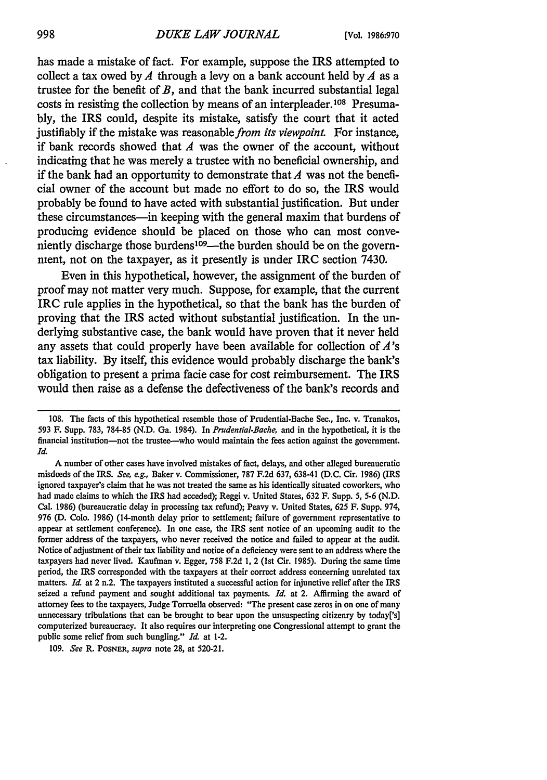has made a mistake of fact. For example, suppose the IRS attempted to collect a tax owed by  $A$  through a levy on a bank account held by  $A$  as a trustee for the benefit of *B,* and that the bank incurred substantial legal costs in resisting the collection by means of an interpleader.<sup>108</sup> Presuma**bly,** the IRS could, despite its mistake, satisfy the court that it acted iustifiably if the mistake was reasonable *from its viewpoint*. For instance, if bank records showed that *A* was the owner of the account, without indicating that he was merely a trustee with no beneficial ownership, and if the bank had an opportunity to demonstrate that *A* was not the beneficial owner of the account but made no effort to do so, the IRS would probably be found to have acted with substantial justification. But under these circumstances—in keeping with the general maxim that burdens of producing evidence should be placed on those who can most conveniently discharge those burdens<sup>109</sup>—the burden should be on the government, not on the taxpayer, as it presently is under IRC section 7430.

Even in this hypothetical, however, the assignment of the burden of proof may not matter very much. Suppose, for example, that the current IRC rule applies in the hypothetical, so that the bank has the burden of proving that the IRS acted without substantial justification. In the underlying substantive case, the bank would have proven that it never held any assets that could properly have been available for collection of *A's* tax liability. **By** itself, this evidence would probably discharge the bank's obligation to present a prima facie case for cost reimbursement. The IRS would then raise as a defense the defectiveness of the bank's records and

109. *See* R. POSNER, *supra* note 28, at 520-21.

<sup>108.</sup> The facts of this hypothetical resemble those of Prudential-Bache Sec., Inc. v. Tranakos, 593 F. Supp. 783, 784-85 (N.D. Ga. 1984). In *Prudential-Bache,* and in the hypothetical, it is the financial institution-not the trustee-who would maintain the fees action against the government. *Id.*

A number of other cases have involved mistakes of fact, delays, and other alleged bureaucratic misdeeds of the IRS. *See, eg.,* Baker v. Commissioner, 787 F.2d 637, 63841 (D.C. Cir. 1986) (IRS ignored taxpayer's claim that he was not treated the same as his identically situated coworkers, who had made claims to which the IRS had acceded); Reggi v. United States, 632 F. Supp. 5, **5.6** (N.D. Cal. 1986) (bureaucratic delay in processing tax refund); Peavy v. United States, 625 F. Supp. 974, 976 **(D.** Colo. 1986) (14-month delay prior to settlement; failure of government representative to appear at settlement conference). In one case, the IRS sent notice of an upcoming audit to the former address of the taxpayers, who never received the notice and failed to appear at the audit. Notice of adjustment of their tax liability and notice of a deficiency were sent to an address where the taxpayers had never lived. Kaufman v. Egger, 758 F.2d **1,** 2 (1st Cir. 1985). During the same time period, the IRS corresponded with the taxpayers at their correct address concerning unrelated tax matters. *Id.* at 2 n.2. The taxpayers instituted a successful action for injunctive relief after the IRS seized a refund payment and sought additional tax payments. *Id.* at 2. Affirming the award of attorney fees to the taxpayers, Judge Torruella observed: "The present case zeros in on one of many unnecessary tribulations that can be brought to bear upon the unsuspecting citizenry by today['s] computerized bureaucracy. It also requires our interpreting one Congressional attempt to grant the public some relief from such bungling." *Id.* at 1-2.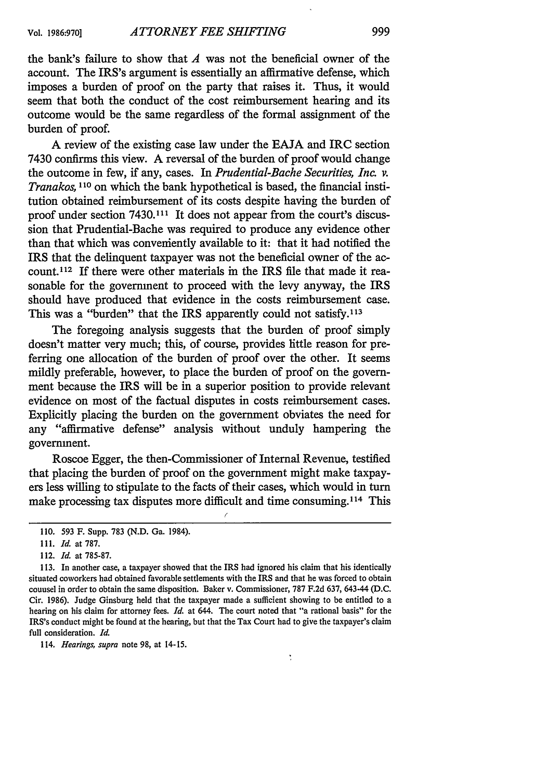the bank's failure to show that *A* was not the beneficial owner of the account. The IRS's argument is essentially an affirmative defense, which imposes a burden of proof on the party that raises it. Thus, it would seem that both the conduct of the cost reimbursement hearing and its outcome would be the same regardless of the formal assignment of the burden of proof.

A review of the existing case law under the EAJA and IRC section 7430 confirms this view. A reversal of the burden of proof would change the outcome in few, if any, cases. In *Prudential-Bache Securities, Inc. v. Tranakos, 110* on which the bank hypothetical is based, the financial institution obtained reimbursement of its costs despite having the burden of proof under section 7430.111 It does not appear from the court's discussion that Prudential-Bache was required to produce any evidence other than that which was conveniently available to it: that it had notified the IRS that the delinquent taxpayer was not the beneficial owner of the account.<sup>112</sup> If there were other materials in the IRS file that made it reasonable for the government to proceed with the levy anyway, the IRS should have produced that evidence in the costs reimbursement case. This was a "burden" that the IRS apparently could not satisfy.<sup>113</sup>

The foregoing analysis suggests that the burden of proof simply doesn't matter very much; this, of course, provides little reason for preferring one allocation of the burden of proof over the other. It seems mildly preferable, however, to place the burden of proof on the government because the IRS will be in a superior position to provide relevant evidence on most of the factual disputes in costs reimbursement cases. Explicitly placing the burden on the government obviates the need for any "affirmative defense" analysis without unduly hampering the government.

Roscoe Egger, the then-Commissioner of Internal Revenue, testified that placing the burden of proof on the government might make taxpayers less willing to stipulate to the facts of their cases, which would in turn make processing tax disputes more difficult and time consuming.<sup>114</sup> This

114. *Hearings, supra* note 98, at 14-15.

<sup>110. 593</sup> F. Supp. 783 (N.D. Ga. 1984).

*<sup>111.</sup> Id.* at 787.

<sup>112.</sup> *Id.* at 785-87.

<sup>113.</sup> In another case, a taxpayer showed that the IRS had ignored his claim that his identically situated coworkers had obtained favorable settlements with the IRS and that he was forced to obtain counsel in order to obtain the same disposition. Baker v. Commissioner, 787 F.2d 637, 643-44 (D.C. Cir. 1986). Judge Ginsburg held that the taxpayer made a sufficient showing to be entitled to a hearing on his claim for attorney fees. *Id.* at 644. The court noted that "a rational basis" for the IRS's conduct might be found at the hearing, but that the Tax Court had to give the taxpayer's claim full consideration. *Id.*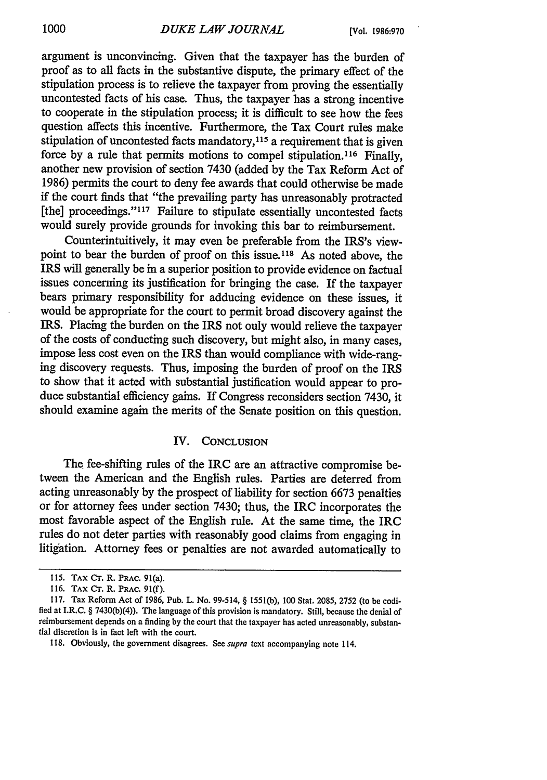argument is unconvincing. Given that the taxpayer has the burden of proof as to all facts in the substantive dispute, the primary effect of the stipulation process is to relieve the taxpayer from proving the essentially uncontested facts of his case. Thus, the taxpayer has a strong incentive to cooperate in the stipulation process; it is difficult to see how the fees question affects this incentive. Furthermore, the Tax Court rules make stipulation of uncontested facts mandatory, **<sup>1</sup> <sup>5</sup>**a requirement that is given force by a rule that permits motions to compel stipulation. 116 Finally, another new provision of section 7430 (added by the Tax Reform Act of 1986) permits the court to deny fee awards that could otherwise be made if the court finds that "the prevailing party has unreasonably protracted [the] proceedings."<sup>117</sup> Failure to stipulate essentially uncontested facts would surely provide grounds for invoking this bar to reimbursement.

Counterintuitively, it may even be preferable from the IRS's viewpoint to bear the burden of proof on this issue.<sup>118</sup> As noted above, the IRS will generally be in a superior position to provide evidence on factual issues concerning its justification for bringing the case. If the taxpayer bears primary responsibility for adducing evidence on these issues, it would be appropriate for the court to permit broad discovery against the IRS. Placing the burden on the IRS not only would relieve the taxpayer of the costs of conducting such discovery, but might also, in many cases, impose less cost even on the IRS than would compliance with wide-ranging discovery requests. Thus, imposing the burden of proof on the IRS to show that it acted with substantial justification would appear to produce substantial efficiency gains. If Congress reconsiders section 7430, it should examine again the merits of the Senate position on this question.

#### IV. **CONCLUSION**

The fee-shifting rules of the IRC are an attractive compromise between the American and the English rules. Parties are deterred from acting unreasonably by the prospect of liability for section 6673 penalties or for attorney fees under section 7430; thus, the IRC incorporates the most favorable aspect of the English rule. At the same time, the IRC rules do not deter parties with reasonably good claims from engaging in litigation. Attorney fees or penalties are not awarded automatically to

<sup>115.</sup> TAX **Cr.** R. **PRAC.** 91(a).

<sup>116.</sup> **TAX CT.** R. **PRAC.** 91(f).

<sup>117.</sup> Tax Reform Act of 1986, Pub. L. No. 99-514, § 1551(b), 100 Stat. 2085, 2752 (to be codified at I.R.C. § 7430(b)(4)). The language of this provision is mandatory. Still, because the denial of reimbursement depends on a finding by the court that the taxpayer has acted unreasonably, substantial discretion is in fact left with the court.

<sup>118.</sup> Obviously, the government disagrees. See *supra* text accompanying note 114.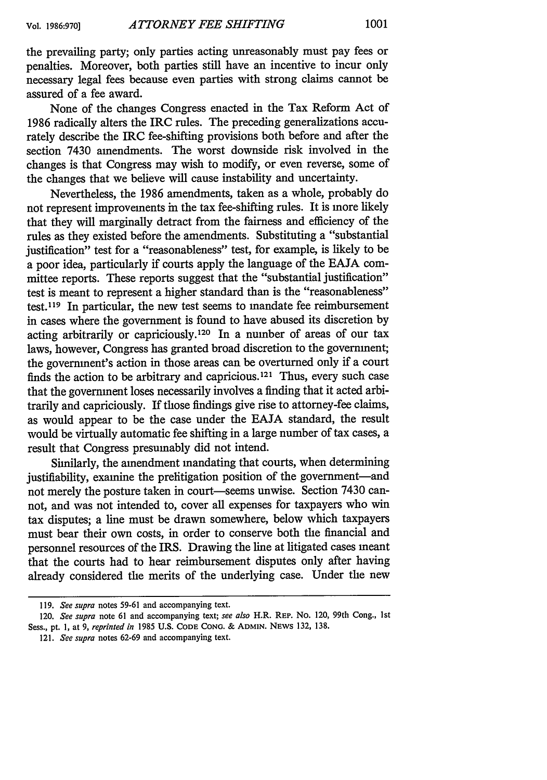the prevailing party; only parties acting unreasonably must pay fees or penalties. Moreover, both parties still have an incentive to incur only necessary legal fees because even parties with strong claims cannot be assured of a fee award.

None of the changes Congress enacted in the Tax Reform Act of 1986 radically alters the IRC rules. The preceding generalizations accurately describe the IRC fee-shifting provisions both before and after the section 7430 amendments. The worst downside risk involved in the changes is that Congress may wish to modify, or even reverse, some of the changes that we believe will cause instability and uncertainty.

Nevertheless, the 1986 amendments, taken as a whole, probably do not represent improvements in the tax fee-shifting rules. It is more likely that they will marginally detract from the fairness and efficiency of the rules as they existed before the amendments. Substituting a "substantial justification" test for a "reasonableness" test, for example, is likely to be a poor idea, particularly if courts apply the language of the EAJA committee reports. These reports suggest that the "substantial justification" test is meant to represent a higher standard than is the "reasonableness" test. 119 In particular, the new test seems to mandate fee reimbursement in cases where the government is found to have abused its discretion by acting arbitrarily or capriciously. 120 In a number of areas of our tax laws, however, Congress has granted broad discretion to the government; the government's action in those areas can be overturned only if a court finds the action to be arbitrary and capricious.121 Thus, every such case that the government loses necessarily involves a finding that it acted arbitrarily and capriciously. If those findings give rise to attorney-fee claims, as would appear to be the case under the EAJA standard, the result would be virtually automatic fee shifting in a large number of tax cases, a result that Congress presumably did not intend.

Similarly, the amendment mandating that courts, when determining justifiability, examine the prelitigation position of the government-and not merely the posture taken in court—seems unwise. Section 7430 cannot, and was not intended to, cover all expenses for taxpayers who win tax disputes; a line must be drawn somewhere, below which taxpayers must bear their own costs, in order to conserve both the financial and personnel resources of the IRS. Drawing the line at litigated cases meant that the courts had to hear reimbursement disputes only after having already considered the merits of the underlying case. Under the new

**<sup>119.</sup>** *See supra* notes **59-61** and accompanying text.

<sup>120.</sup> *See supra* note **61** and accompanying text; *see also* H.R. REP. No. 120, 99th Cong., **1st** Sess., pt. **1,** at **9,** *reprinted in* **1985** U.S. **CODE CONG. & ADMIN. NEWS** 132, 138.

<sup>121.</sup> *See supra* notes **62-69** and accompanying text.